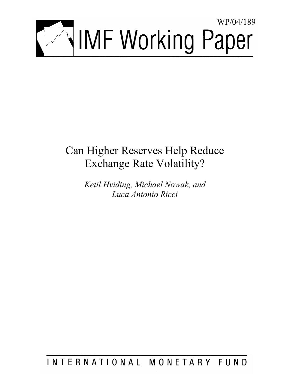

# Can Higher Reserves Help Reduce Exchange Rate Volatility?

*Ketil Hviding, Michael Nowak, and Luca Antonio Ricci* 

## INTERNATIONAL MONETARY FUND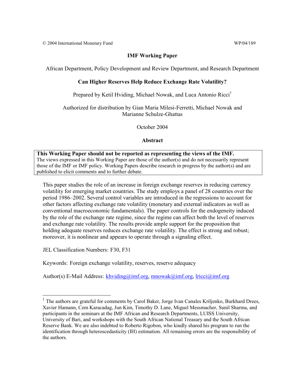### **IMF Working Paper**

African Department, Policy Development and Review Department, and Research Department

#### **Can Higher Reserves Help Reduce Exchange Rate Volatility?**

Prepared by Ketil Hviding, Michael Nowak, and Luca Antonio Ricci<sup>1</sup>

Authorized for distribution by Gian Maria Milesi-Ferretti, Michael Nowak and Marianne Schulze-Ghattas

October 2004

**Abstract**

**This Working Paper should not be reported as representing the views of the IMF.** The views expressed in this Working Paper are those of the author(s) and do not necessarily represent those of the IMF or IMF policy. Working Papers describe research in progress by the author(s) and are published to elicit comments and to further debate.

This paper studies the role of an increase in foreign exchange reserves in reducing currency volatility for emerging market countries. The study employs a panel of 28 countries over the period 1986–2002. Several control variables are introduced in the regressions to account for other factors affecting exchange rate volatility (monetary and external indicators as well as conventional macroeconomic fundamentals). The paper controls for the endogeneity induced by the role of the exchange rate regime, since the regime can affect both the level of reserves and exchange rate volatility. The results provide ample support for the proposition that holding adequate reserves reduces exchange rate volatility. The effect is strong and robust; moreover, it is nonlinear and appears to operate through a signaling effect.

JEL Classification Numbers: F30, F31

1

Keywords: Foreign exchange volatility, reserves, reserve adequacy

Author(s) E-Mail Address: khviding@imf.org, mnowak@imf.org, lricci@imf.org

<sup>&</sup>lt;sup>1</sup> The authors are grateful for comments by Carol Baker, Jorge Ivan Canales Kriljenko, Burkhard Drees, Xavier Hamann, Cem Karacadag, Jun Kim, Timothy D. Lane, Miguel Messmacher, Sunil Sharma, and participants in the seminars at the IMF African and Research Departments, LUISS University, University of Bari, and workshops with the South African National Treasury and the South African Reserve Bank. We are also indebted to Roberto Rigobon, who kindly shared his program to run the identification through heteroscedasticity (IH) estimation. All remaining errors are the responsibility of the authors.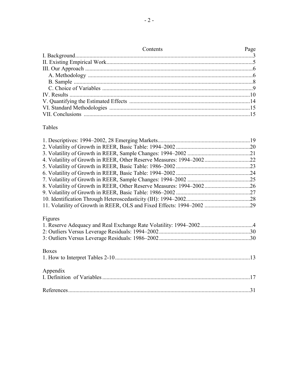| Contents | Page |
|----------|------|
|          |      |
|          |      |
|          |      |
|          |      |
|          |      |
|          |      |
|          |      |
|          |      |
|          |      |
|          |      |

#### Tables

| Figures      |  |
|--------------|--|
|              |  |
|              |  |
|              |  |
|              |  |
| <b>Boxes</b> |  |
|              |  |
|              |  |
| Appendix     |  |
|              |  |
|              |  |
|              |  |
|              |  |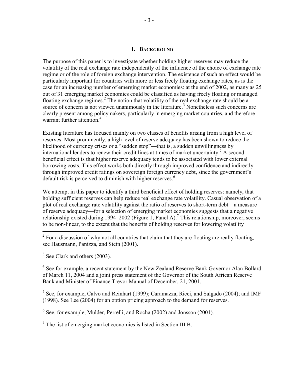#### **I. BACKGROUND**

The purpose of this paper is to investigate whether holding higher reserves may reduce the volatility of the real exchange rate independently of the influence of the choice of exchange rate regime or of the role of foreign exchange intervention. The existence of such an effect would be particularly important for countries with more or less freely floating exchange rates, as is the case for an increasing number of emerging market economies: at the end of 2002, as many as 25 out of 31 emerging market economies could be classified as having freely floating or managed floating exchange regimes.<sup>2</sup> The notion that volatility of the real exchange rate should be a source of concern is not viewed unanimously in the literature.<sup>3</sup> Nonetheless such concerns are clearly present among policymakers, particularly in emerging market countries, and therefore warrant further attention.<sup>4</sup>

Existing literature has focused mainly on two classes of benefits arising from a high level of reserves. Most prominently, a high level of reserve adequacy has been shown to reduce the likelihood of currency crises or a "sudden stop"—that is, a sudden unwillingness by international lenders to renew their credit lines at times of market uncertainty.<sup>5</sup> A second beneficial effect is that higher reserve adequacy tends to be associated with lower external borrowing costs. This effect works both directly through improved confidence and indirectly through improved credit ratings on sovereign foreign currency debt, since the government's default risk is perceived to diminish with higher reserves.<sup>6</sup>

We attempt in this paper to identify a third beneficial effect of holding reserves: namely, that holding sufficient reserves can help reduce real exchange rate volatility. Casual observation of a plot of real exchange rate volatility against the ratio of reserves to short-term debt—a measure of reserve adequacy—for a selection of emerging market economies suggests that a negative relationship existed during 1994–2002 (Figure 1, Panel A).<sup>7</sup> This relationship, moreover, seems to be non-linear, to the extent that the benefits of holding reserves for lowering volatility

<sup>4</sup> See for example, a recent statement by the New Zealand Reserve Bank Governor Alan Bollard of March 11, 2004 and a joint press statement of the Governor of the South African Reserve Bank and Minister of Finance Trevor Manual of December, 21, 2001.

 $<sup>5</sup>$  See, for example, Calvo and Reinhart (1999); Caramazza, Ricci, and Salgado (2004); and IMF</sup> (1998). See Lee (2004) for an option pricing approach to the demand for reserves.

<sup>6</sup> See, for example, Mulder, Perrelli, and Rocha (2002) and Jonsson (2001).

 $7$  The list of emerging market economies is listed in Section III.B.

<sup>&</sup>lt;sup>2</sup> For a discussion of why not all countries that claim that they are floating are really floating, see Hausmann, Panizza, and Stein (2001).

 $3$  See Clark and others (2003).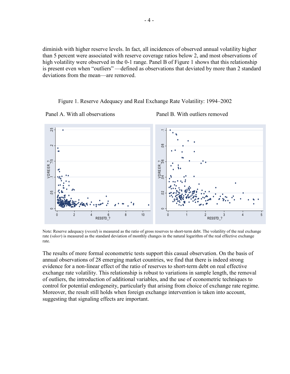diminish with higher reserve levels. In fact, all incidences of observed annual volatility higher than 5 percent were associated with reserve coverage ratios below 2, and most observations of high volatility were observed in the 0-1 range. Panel B of Figure 1 shows that this relationship is present even when "outliers" —defined as observations that deviated by more than 2 standard deviations from the mean—are removed.

#### Figure 1. Reserve Adequacy and Real Exchange Rate Volatility: 1994–2002





Note: Reserve adequacy (*resstd*) is measured as the ratio of gross reserves to short-term debt. The volatility of the real exchange rate (*vdeer*) is measured as the standard deviation of monthly changes in the natural logarithm of the real effective exchange rate.

The results of more formal econometric tests support this casual observation. On the basis of annual observations of 28 emerging market countries, we find that there is indeed strong evidence for a non-linear effect of the ratio of reserves to short-term debt on real effective exchange rate volatility. This relationship is robust to variations in sample length, the removal of outliers, the introduction of additional variables, and the use of econometric techniques to control for potential endogeneity, particularly that arising from choice of exchange rate regime. Moreover, the result still holds when foreign exchange intervention is taken into account, suggesting that signaling effects are important.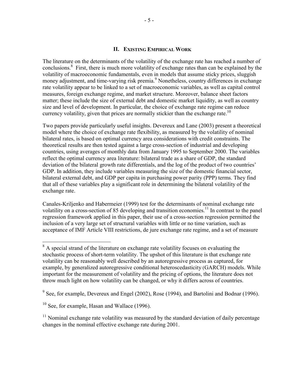#### **II. EXISTING EMPIRICAL WORK**

The literature on the determinants of the volatility of the exchange rate has reached a number of conclusions.<sup>8</sup> First, there is much more volatility of exchange rates than can be explained by the volatility of macroeconomic fundamentals, even in models that assume sticky prices, sluggish money adjustment, and time-varying risk premia.<sup>9</sup> Nonetheless, country differences in exchange rate volatility appear to be linked to a set of macroeconomic variables, as well as capital control measures, foreign exchange regime, and market structure. Moreover, balance sheet factors matter; these include the size of external debt and domestic market liquidity, as well as country size and level of development. In particular, the choice of exchange rate regime can reduce currency volatility, given that prices are normally stickier than the exchange rate.<sup>10</sup>

Two papers provide particularly useful insights. Devereux and Lane (2003) present a theoretical model where the choice of exchange rate flexibility, as measured by the volatility of nominal bilateral rates, is based on optimal currency area considerations with credit constraints. The theoretical results are then tested against a large cross-section of industrial and developing countries, using averages of monthly data from January 1995 to September 2000. The variables reflect the optimal currency area literature: bilateral trade as a share of GDP, the standard deviation of the bilateral growth rate differentials, and the log of the product of two countries' GDP. In addition, they include variables measuring the size of the domestic financial sector, bilateral external debt, and GDP per capita in purchasing power parity (PPP) terms. They find that all of these variables play a significant role in determining the bilateral volatility of the exchange rate.

Canales-Kriljenko and Habermeier (1999) test for the determinants of nominal exchange rate volatility on a cross-section of 85 developing and transition economies.<sup>11</sup> In contrast to the panel regression framework applied in this paper, their use of a cross-section regression permitted the inclusion of a very large set of structural variables with little or no time variation, such as acceptance of IMF Article VIII restrictions, de jure exchange rate regime, and a set of measure

<sup>&</sup>lt;sup>8</sup> A special strand of the literature on exchange rate volatility focuses on evaluating the stochastic process of short-term volatility. The upshot of this literature is that exchange rate volatility can be reasonably well described by an autoregressive process as captured, for example, by generalized autoregressive conditional heteroscedasticity (GARCH) models. While important for the measurement of volatility and the pricing of options, the literature does not throw much light on how volatility can be changed, or why it differs across of countries.

 $9^9$  See, for example, Devereux and Engel (2002), Rose (1994), and Bartolini and Bodnar (1996).

 $10$  See, for example, Hasan and Wallace (1996).

 $11$  Nominal exchange rate volatility was measured by the standard deviation of daily percentage changes in the nominal effective exchange rate during 2001.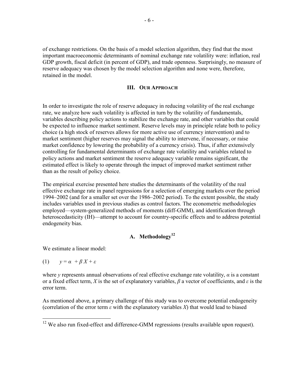of exchange restrictions. On the basis of a model selection algorithm, they find that the most important macroeconomic determinants of nominal exchange rate volatility were: inflation, real GDP growth, fiscal deficit (in percent of GDP), and trade openness. Surprisingly, no measure of reserve adequacy was chosen by the model selection algorithm and none were, therefore, retained in the model.

#### **III. OUR APPROACH**

In order to investigate the role of reserve adequacy in reducing volatility of the real exchange rate, we analyze how such volatility is affected in turn by the volatility of fundamentals, variables describing policy actions to stabilize the exchange rate, and other variables that could be expected to influence market sentiment. Reserve levels may in principle relate both to policy choice (a high stock of reserves allows for more active use of currency intervention) and to market sentiment (higher reserves may signal the ability to intervene, if necessary, or raise market confidence by lowering the probability of a currency crisis). Thus, if after extensively controlling for fundamental determinants of exchange rate volatility and variables related to policy actions and market sentiment the reserve adequacy variable remains significant, the estimated effect is likely to operate through the impact of improved market sentiment rather than as the result of policy choice.

The empirical exercise presented here studies the determinants of the volatility of the real effective exchange rate in panel regressions for a selection of emerging markets over the period 1994–2002 (and for a smaller set over the 1986–2002 period). To the extent possible, the study includes variables used in previous studies as control factors. The econometric methodologies employed—system-generalized methods of moments (diff-GMM), and identification through heteroscedasticity (IH)—attempt to account for country-specific effects and to address potential endogeneity bias.

#### A. Methodology<sup>12</sup>

We estimate a linear model:

(1) 
$$
y = \alpha + \beta X + \varepsilon
$$

 $\overline{a}$ 

where *y* represents annual observations of real effective exchange rate volatility,  $\alpha$  is a constant or a fixed effect term, *X* is the set of explanatory variables, *β* a vector of coefficients, and *ε* is the error term.

As mentioned above, a primary challenge of this study was to overcome potential endogeneity (correlation of the error term *ε* with the explanatory variables *X*) that would lead to biased

 $12$  We also run fixed-effect and difference-GMM regressions (results available upon request).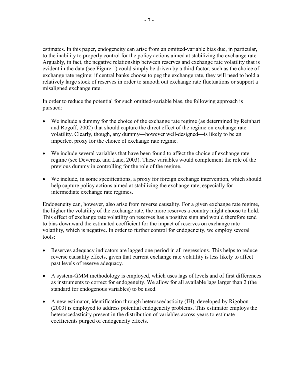estimates. In this paper, endogeneity can arise from an omitted-variable bias due, in particular, to the inability to properly control for the policy actions aimed at stabilizing the exchange rate. Arguably, in fact, the negative relationship between reserves and exchange rate volatility that is evident in the data (see Figure 1) could simply be driven by a third factor, such as the choice of exchange rate regime: if central banks choose to peg the exchange rate, they will need to hold a relatively large stock of reserves in order to smooth out exchange rate fluctuations or support a misaligned exchange rate.

In order to reduce the potential for such omitted-variable bias, the following approach is pursued:

- We include a dummy for the choice of the exchange rate regime (as determined by Reinhart and Rogoff, 2002) that should capture the direct effect of the regime on exchange rate volatility. Clearly, though, any dummy—however well-designed—is likely to be an imperfect proxy for the choice of exchange rate regime.
- We include several variables that have been found to affect the choice of exchange rate regime (see Devereux and Lane, 2003). These variables would complement the role of the previous dummy in controlling for the role of the regime.
- We include, in some specifications, a proxy for foreign exchange intervention, which should help capture policy actions aimed at stabilizing the exchange rate, especially for intermediate exchange rate regimes.

Endogeneity can, however, also arise from reverse causality. For a given exchange rate regime, the higher the volatility of the exchange rate, the more reserves a country might choose to hold. This effect of exchange rate volatility on reserves has a positive sign and would therefore tend to bias downward the estimated coefficient for the impact of reserves on exchange rate volatility, which is negative. In order to further control for endogeneity, we employ several tools:

- Reserves adequacy indicators are lagged one period in all regressions. This helps to reduce reverse causality effects, given that current exchange rate volatility is less likely to affect past levels of reserve adequacy.
- A system-GMM methodology is employed, which uses lags of levels and of first differences as instruments to correct for endogeneity. We allow for all available lags larger than 2 (the standard for endogenous variables) to be used.
- A new estimator, identification through heteroscedasticity (IH), developed by Rigobon (2003) is employed to address potential endogeneity problems. This estimator employs the heteroscedasticity present in the distribution of variables across years to estimate coefficients purged of endogeneity effects.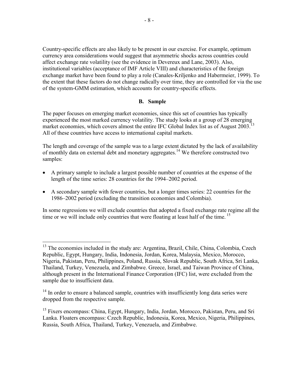Country-specific effects are also likely to be present in our exercise. For example, optimum currency area considerations would suggest that asymmetric shocks across countries could affect exchange rate volatility (see the evidence in Devereux and Lane, 2003). Also, institutional variables (acceptance of IMF Article VIII) and characteristics of the foreign exchange market have been found to play a role (Canales-Kriljenko and Habermeier, 1999). To the extent that these factors do not change radically over time, they are controlled for via the use of the system-GMM estimation, which accounts for country-specific effects.

#### **B. Sample**

The paper focuses on emerging market economies, since this set of countries has typically experienced the most marked currency volatility. The study looks at a group of 28 emerging market economies, which covers almost the entire IFC Global Index list as of August 2003.<sup>13</sup> All of these countries have access to international capital markets.

The length and coverage of the sample was to a large extent dictated by the lack of availability of monthly data on external debt and monetary aggregates.14 We therefore constructed two samples:

- A primary sample to include a largest possible number of countries at the expense of the length of the time series: 28 countries for the 1994–2002 period.
- A secondary sample with fewer countries, but a longer times series: 22 countries for the 1986–2002 period (excluding the transition economies and Colombia).

In some regressions we will exclude countries that adopted a fixed exchange rate regime all the time or we will include only countries that were floating at least half of the time.  $15$ 

1

<sup>&</sup>lt;sup>13</sup> The economies included in the study are: Argentina, Brazil, Chile, China, Colombia, Czech Republic, Egypt, Hungary, India, Indonesia, Jordan, Korea, Malaysia, Mexico, Morocco, Nigeria, Pakistan, Peru, Philippines, Poland, Russia, Slovak Republic, South Africa, Sri Lanka, Thailand, Turkey, Venezuela, and Zimbabwe. Greece, Israel, and Taiwan Province of China, although present in the International Finance Corporation (IFC) list, were excluded from the sample due to insufficient data.

 $14$  In order to ensure a balanced sample, countries with insufficiently long data series were dropped from the respective sample.

<sup>&</sup>lt;sup>15</sup> Fixers encompass: China, Egypt, Hungary, India, Jordan, Morocco, Pakistan, Peru, and Sri Lanka. Floaters encompass: Czech Republic, Indonesia, Korea, Mexico, Nigeria, Philippines, Russia, South Africa, Thailand, Turkey, Venezuela, and Zimbabwe.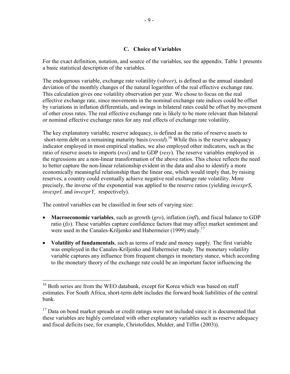#### **C. Choice of Variables**

For the exact definition, notation, and source of the variables, see the appendix. Table 1 presents a basic statistical description of the variables.

The endogenous variable, exchange rate volatility (*vdreer*), is defined as the annual standard deviation of the monthly changes of the natural logarithm of the real effective exchange rate. This calculation gives one volatility observation per year. We chose to focus on the real effective exchange rate, since movements in the nominal exchange rate indices could be offset by variations in inflation differentials, and swings in bilateral rates could be offset by movement of other cross rates. The real effective exchange rate is likely to be more relevant than bilateral or nominal effective exchange rates for any real effects of exchange rate volatility.

The key explanatory variable, reserve adequacy, is defined as the ratio of reserve assets to short-term debt on a remaining maturity basis (*resstd*).<sup>16</sup> While this is the reserve adequacy indicator employed in most empirical studies, we also employed other indicators, such as the ratio of reserve assets to imports (*resi*) and to GDP (*resy*). The reserve variables employed in the regressions are a non-linear transformation of the above ratios. This choice reflects the need to better capture the non-linear relationship evident in the data and also to identify a more economically meaningful relationship than the linear one, which would imply that, by raising reserves, a country could eventually achieve negative real exchange rate volatility. More precisely, the inverse of the exponential was applied to the reserve ratios (yielding *invexprS*, *invexprI,* and *invexprY,* respectively).

The control variables can be classified in four sets of varying size:

1

- **Macroeconomic variables**, such as growth (*gro*), inflation (*infl*), and fiscal balance to GDP ratio (*fis*). These variables capture confidence factors that may affect market sentiment and were used in the Canales-Kriljenko and Habermeier (1999) study.<sup>17</sup>
- **Volatility of fundamentals**, such as terms of trade and money supply. The first variable was employed in the Canales-Kriljenko and Habermeier study. The monetary volatility variable captures any influence from frequent changes in monetary stance, which according to the monetary theory of the exchange rate could be an important factor influencing the

<sup>&</sup>lt;sup>16</sup> Both series are from the WEO databank, except for Korea which was based on staff estimates. For South Africa, short-term debt includes the forward book liabilities of the central bank.

 $17$  Data on bond market spreads or credit ratings were not included since it is documented that these variables are highly correlated with other explanatory variables such as reserve adequacy and fiscal deficits (see, for example, Christofides, Mulder, and Tiffin (2003)).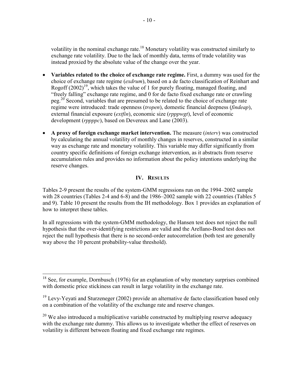volatility in the nominal exchange rate.<sup>18</sup> Monetary volatility was constructed similarly to exchange rate volatility. Due to the lack of monthly data, terms of trade volatility was instead proxied by the absolute value of the change over the year.

- Variables related to the choice of exchange rate regime. First, a dummy was used for the choice of exchange rate regime (*exdrum*), based on a de facto classification of Reinhart and Rogoff  $(2002)^{19}$ , which takes the value of 1 for purely floating, managed floating, and "freely falling" exchange rate regime, and 0 for de facto fixed exchange rate or crawling peg.<sup>20</sup> Second, variables that are presumed to be related to the choice of exchange rate regime were introduced: trade openness (*tropen*), domestic financial deepness (*findeap*), external financial exposure (*extfin*), economic size (*rpppwgt*), level of economic development (*rppppc*), based on Devereux and Lane (2003).
- **A proxy of foreign exchange market intervention.** The measure (*interv*) was constructed by calculating the annual volatility of monthly changes in reserves, constructed in a similar way as exchange rate and monetary volatility. This variable may differ significantly from country specific definitions of foreign exchange intervention, as it abstracts from reserve accumulation rules and provides no information about the policy intentions underlying the reserve changes.

#### **IV. RESULTS**

Tables 2-9 present the results of the system-GMM regressions run on the 1994–2002 sample with 28 countries (Tables 2-4 and 6-8) and the 1986–2002 sample with 22 countries (Tables 5 and 9). Table 10 present the results from the IH methodology. Box 1 provides an explanation of how to interpret these tables.

In all regressions with the system-GMM methodology, the Hansen test does not reject the null hypothesis that the over-identifying restrictions are valid and the Arellano-Bond test does not reject the null hypothesis that there is no second-order autocorrelation (both test are generally way above the 10 percent probability-value threshold).

 $\overline{a}$ 

 $18$  See, for example, Dornbusch (1976) for an explanation of why monetary surprises combined with domestic price stickiness can result in large volatility in the exchange rate.

 $19$  Levy-Yeyati and Sturzeneger (2002) provide an alternative de facto classification based only on a combination of the volatility of the exchange rate and reserve changes.

 $20$  We also introduced a multiplicative variable constructed by multiplying reserve adequacy with the exchange rate dummy. This allows us to investigate whether the effect of reserves on volatility is different between floating and fixed exchange rate regimes.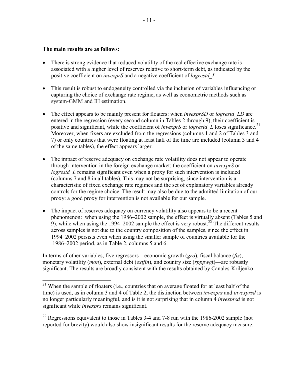#### **The main results are as follows:**

 $\overline{a}$ 

- There is strong evidence that reduced volatility of the real effective exchange rate is associated with a higher level of reserves relative to short-term debt, as indicated by the positive coefficient on *invexprS* and a negative coefficient of *logrestd\_L*.
- This result is robust to endogeneity controlled via the inclusion of variables influencing or capturing the choice of exchange rate regime, as well as econometric methods such as system-GMM and IH estimation.
- The effect appears to be mainly present for floaters: when *invexprSD* or *logrestd LD* are entered in the regression (every second column in Tables 2 through 9), their coefficient is positive and significant, while the coefficient of *invexprS* or *logrestd* L loses significance.<sup>21</sup> Moreover, when fixers are excluded from the regressions (columns 1 and 2 of Tables 3 and 7) or only countries that were floating at least half of the time are included (column 3 and 4 of the same tables), the effect appears larger.
- The impact of reserve adequacy on exchange rate volatility does not appear to operate through intervention in the foreign exchange market: the coefficient on *invexprS* or *logrestd* L remains significant even when a proxy for such intervention is included (columns 7 and 8 in all tables). This may not be surprising, since intervention is a characteristic of fixed exchange rate regimes and the set of explanatory variables already controls for the regime choice. The result may also be due to the admitted limitation of our proxy: a good proxy for intervention is not available for our sample.
- The impact of reserves adequacy on currency volatility also appears to be a recent phenomenon: when using the 1986–2002 sample, the effect is virtually absent (Tables 5 and 9), while when using the  $\overline{1}994-2002$  sample the effect is very robust.<sup>22</sup> The different results across samples is not due to the country composition of the samples, since the effect in 1994–2002 persists even when using the smaller sample of countries available for the 1986–2002 period, as in Table 2, columns 5 and 6.

In terms of other variables, five regressors—economic growth (*gro*), fiscal balance (*fis*), monetary volatility (*mon*), external debt (*extfin*), and country size (*rpppwg*t)—are robustly significant. The results are broadly consistent with the results obtained by Canales-Kriljenko

<sup>&</sup>lt;sup>21</sup> When the sample of floaters (i.e., countries that on average floated for at least half of the time) is used, as in column 3 and 4 of Table 2, the distinction between *invexprs* and *invexprsd* is no longer particularly meaningful, and is it is not surprising that in column 4 *invexprsd* is not significant while *invexprs* remains significant.

 $22$  Regressions equivalent to those in Tables 3-4 and 7-8 run with the 1986-2002 sample (not reported for brevity) would also show insignificant results for the reserve adequacy measure.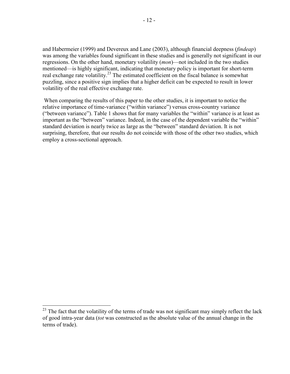and Habermeier (1999) and Devereux and Lane (2003), although financial deepness (*findeap*) was among the variables found significant in these studies and is generally not significant in our regressions. On the other hand, monetary volatility (*mon*)—not included in the two studies mentioned—is highly significant, indicating that monetary policy is important for short-term real exchange rate volatility.<sup>23</sup> The estimated coefficient on the fiscal balance is somewhat puzzling, since a positive sign implies that a higher deficit can be expected to result in lower volatility of the real effective exchange rate.

 When comparing the results of this paper to the other studies, it is important to notice the relative importance of time-variance ("within variance") versus cross-country variance ("between variance"). Table 1 shows that for many variables the "within" variance is at least as important as the "between" variance. Indeed, in the case of the dependent variable the "within" standard deviation is nearly twice as large as the "between" standard deviation. It is not surprising, therefore, that our results do not coincide with those of the other two studies, which employ a cross-sectional approach.

 $\overline{a}$ 

 $^{23}$  The fact that the volatility of the terms of trade was not significant may simply reflect the lack of good intra-year data (*tot* was constructed as the absolute value of the annual change in the terms of trade).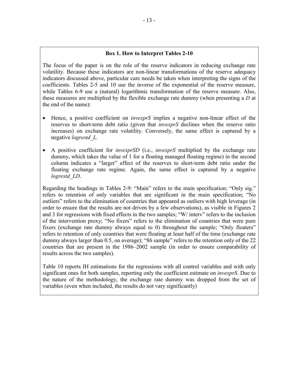#### **Box 1. How to Interpret Tables 2-10**

The focus of the paper is on the role of the reserve indicators in reducing exchange rate volatility. Because these indicators are non-linear transformations of the reserve adequacy indicators discussed above, particular care needs be taken when interpreting the signs of the coefficients. Tables 2-5 and 10 use the inverse of the exponential of the reserve measure, while Tables 6-9 use a (natural) logarithmic transformation of the reserve measure. Also, these measures are multiplied by the flexible exchange rate dummy (when presenting a *D* at the end of the name):

- Hence, a positive coefficient on *invexprS* implies a negative non-linear effect of the reserves to short-term debt ratio (given that *invexprS* declines when the reserve ratio increases) on exchange rate volatility. Conversely, the same effect is captured by a negative *logrestd\_L*.
- A positive coefficient for *invexprSD* (i.e., *invexprS* multiplied by the exchange rate dummy, which takes the value of 1 for a floating managed floating regime) in the second column indicates a "larger" effect of the reserves to short-term debt ratio under the floating exchange rate regime. Again, the same effect is captured by a negative *logrestd\_LD*.

Regarding the headings in Tables 2-9: "Main" refers to the main specification; "Only sig." refers to retention of only variables that are significant in the main specification; "No outliers" refers to the elimination of countries that appeared as outliers with high leverage (in order to ensure that the results are not driven by a few observations), as visible in Figures 2 and 3 for regressions with fixed effects in the two samples; "W/ interv" refers to the inclusion of the intervention proxy; "No fixers" refers to the elimination of countries that were pure fixers (exchange rate dummy always equal to 0) throughout the sample; "Only floaters" refers to retention of only countries that were floating at least half of the time (exchange rate dummy always larger than 0.5, on average); "86 sample" refers to the retention only of the 22 countries that are present in the 1986–2002 sample (in order to ensure comparability of results across the two samples).

Table 10 reports IH estimations for the regressions with all control variables and with only significant ones for both samples, reporting only the coefficient estimate on *invexprS*. Due to the nature of the methodology, the exchange rate dummy was dropped from the set of variables (even when included, the results do not vary significantly)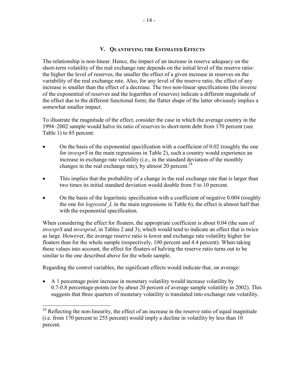#### **V. QUANTIFYING THE ESTIMATED EFFECTS**

The relationship is non-linear. Hence, the impact of an increase in reserve adequacy on the short-term volatility of the real exchange rate depends on the initial level of the reserve ratio: the higher the level of reserves, the smaller the effect of a given increase in reserves on the variability of the real exchange rate. Also, for any level of the reserve ratio, the effect of any increase is smaller than the effect of a decrease. The two non-linear specifications (the inverse of the exponential of reserves and the logarithm of reserves) indicate a different magnitude of the effect due to the different functional form; the flatter shape of the latter obviously implies a somewhat smaller impact.

To illustrate the magnitude of the effect, consider the case in which the average country in the 1994–2002 sample would halve its ratio of reserves to short-term debt from 170 percent (see Table 1) to 85 percent:

- On the basis of the exponential specification with a coefficient of 0.02 (roughly the one for *invexprS* in the main regressions in Table 2), such a country would experience an increase in exchange rate volatility (i.e., in the standard deviation of the monthly changes in the real exchange rate), by almost 20 percent.<sup>24</sup>
- This implies that the probability of a change in the real exchange rate that is larger than two times its initial standard deviation would double from 5 to 10 percent.
- On the basis of the logaritmic specification with a coefficient of negative 0.004 (roughly the one for *logresstd\_L* in the main regressions in Table 6), the effect is almost half that with the exponential specification.

When considering the effect for floaters, the appropriate coefficient is about 0.04 (the sum of *invexprS* and *invexprsd*, in Tables 2 and 3), which would tend to indicate an effect that is twice as large. However, the average reserve ratio is lower and exchange rate volatility higher for floaters than for the whole sample (respectively, 100 percent and 4.4 percent). When taking these values into account, the effect for floaters of halving the reserve ratio turns out to be similar to the one described above for the whole sample.

Regarding the control variables, the significant effects would indicate that, on average:

 $\overline{a}$ 

• A 1 percentage point increase in monetary volatility would increase volatility by 0.7-0.8 percentage-points (or by about 20 percent of average sample volatility in 2002). This suggests that three quarters of monetary volatility is translated into exchange rate volatility.

 $24$  Reflecting the non-linearity, the effect of an increase in the reserve ratio of equal magnitude (i.e. from 170 percent to 255 percent) would imply a decline in volatility by less than 10 percent.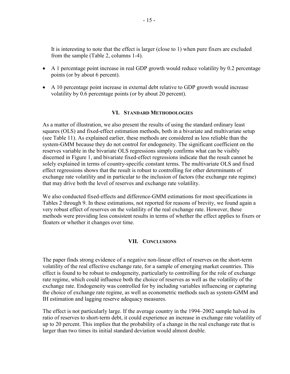It is interesting to note that the effect is larger (close to 1) when pure fixers are excluded from the sample (Table 2, columns 1-4).

- A 1 percentage point increase in real GDP growth would reduce volatility by 0.2 percentage points (or by about 6 percent).
- A 10 percentage point increase in external debt relative to GDP growth would increase volatility by 0.6 percentage points (or by about 20 percent).

#### **VI. STANDARD METHODOLOGIES**

As a matter of illustration, we also present the results of using the standard ordinary least squares (OLS) and fixed-effect estimation methods, both in a bivariate and multivariate setup (see Table 11). As explained earlier, these methods are considered as less reliable than the system-GMM because they do not control for endogeneity. The significant coefficient on the reserves variable in the bivariate OLS regressions simply confirms what can be visibly discerned in Figure 1, and bivariate fixed-effect regressions indicate that the result cannot be solely explained in terms of country-specific constant terms. The multivariate OLS and fixed effect regressions shows that the result is robust to controlling for other determinants of exchange rate volatility and in particular to the inclusion of factors (the exchange rate regime) that may drive both the level of reserves and exchange rate volatility.

We also conducted fixed-effects and difference-GMM estimations for most specifications in Tables 2 through 9. In these estimations, not reported for reasons of brevity, we found again a very robust effect of reserves on the volatility of the real exchange rate. However, these methods were providing less consistent results in terms of whether the effect applies to fixers or floaters or whether it changes over time.

#### **VII. CONCLUSIONS**

The paper finds strong evidence of a negative non-linear effect of reserves on the short-term volatility of the real effective exchange rate, for a sample of emerging market countries. This effect is found to be robust to endogeneity, particularly to controlling for the role of exchange rate regime, which could influence both the choice of reserves as well as the volatility of the exchange rate. Endogeneity was controlled for by including variables influencing or capturing the choice of exchange rate regime, as well as econometric methods such as system-GMM and IH estimation and lagging reserve adequacy measures.

The effect is not particularly large. If the average country in the 1994–2002 sample halved its ratio of reserves to short-term debt, it could experience an increase in exchange rate volatility of up to 20 percent. This implies that the probability of a change in the real exchange rate that is larger than two times its initial standard deviation would almost double.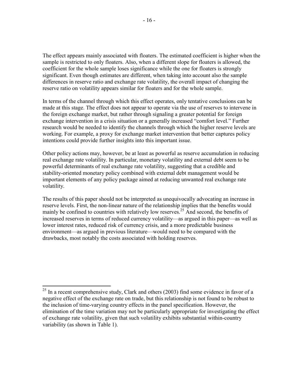The effect appears mainly associated with floaters. The estimated coefficient is higher when the sample is restricted to only floaters. Also, when a different slope for floaters is allowed, the coefficient for the whole sample loses significance while the one for floaters is strongly significant. Even though estimates are different, when taking into account also the sample differences in reserve ratio and exchange rate volatility, the overall impact of changing the reserve ratio on volatility appears similar for floaters and for the whole sample.

In terms of the channel through which this effect operates, only tentative conclusions can be made at this stage. The effect does not appear to operate via the use of reserves to intervene in the foreign exchange market, but rather through signaling a greater potential for foreign exchange intervention in a crisis situation or a generally increased "comfort level." Further research would be needed to identify the channels through which the higher reserve levels are working. For example, a proxy for exchange market intervention that better captures policy intentions could provide further insights into this important issue.

Other policy actions may, however, be at least as powerful as reserve accumulation in reducing real exchange rate volatility. In particular, monetary volatility and external debt seem to be powerful determinants of real exchange rate volatility, suggesting that a credible and stability-oriented monetary policy combined with external debt management would be important elements of any policy package aimed at reducing unwanted real exchange rate volatility.

The results of this paper should not be interpreted as unequivocally advocating an increase in reserve levels. First, the non-linear nature of the relationship implies that the benefits would mainly be confined to countries with relatively low reserves.<sup>25</sup> And second, the benefits of increased reserves in terms of reduced currency volatility—as argued in this paper—as well as lower interest rates, reduced risk of currency crisis, and a more predictable business environment—as argued in previous literature—would need to be compared with the drawbacks, most notably the costs associated with holding reserves.

 $\overline{a}$ 

 $^{25}$  In a recent comprehensive study, Clark and others (2003) find some evidence in favor of a negative effect of the exchange rate on trade, but this relationship is not found to be robust to the inclusion of time-varying country effects in the panel specification. However, the elimination of the time variation may not be particularly appropriate for investigating the effect of exchange rate volatility, given that such volatility exhibits substantial within-country variability (as shown in Table 1).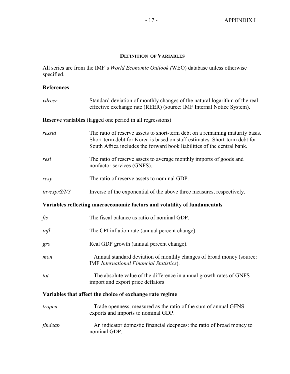#### **DEFINITION OF VARIABLES**

All series are from the IMF's *World Economic Outlook (*WEO) database unless otherwise specified.

### **References**

| vdreer        | Standard deviation of monthly changes of the natural logarithm of the real<br>effective exchange rate (REER) (source: IMF Internal Notice System).                                                                                     |
|---------------|----------------------------------------------------------------------------------------------------------------------------------------------------------------------------------------------------------------------------------------|
|               | <b>Reserve variables</b> (lagged one period in all regressions)                                                                                                                                                                        |
| resstd        | The ratio of reserve assets to short-term debt on a remaining maturity basis.<br>Short-term debt for Korea is based on staff estimates. Short-term debt for<br>South Africa includes the forward book liabilities of the central bank. |
| resi          | The ratio of reserve assets to average monthly imports of goods and<br>nonfactor services (GNFS).                                                                                                                                      |
| resy          | The ratio of reserve assets to nominal GDP.                                                                                                                                                                                            |
| invexprS/ I/Y | Inverse of the exponential of the above three measures, respectively.                                                                                                                                                                  |
|               | Variables reflecting macroeconomic factors and volatility of fundamentals                                                                                                                                                              |
| fis           | The fiscal balance as ratio of nominal GDP.                                                                                                                                                                                            |
| infl          | The CPI inflation rate (annual percent change).                                                                                                                                                                                        |
| gro           | Real GDP growth (annual percent change).                                                                                                                                                                                               |
| mon           | Annual standard deviation of monthly changes of broad money (source:<br><b>IMF</b> International Financial Statistics).                                                                                                                |
| tot           | The absolute value of the difference in annual growth rates of GNFS<br>import and export price deflators                                                                                                                               |
|               | Variables that affect the choice of exchange rate regime                                                                                                                                                                               |
| tropen        | Trade openness, measured as the ratio of the sum of annual GFNS<br>exports and imports to nominal GDP.                                                                                                                                 |
| findeap       | An indicator domestic financial deepness: the ratio of broad money to<br>nominal GDP.                                                                                                                                                  |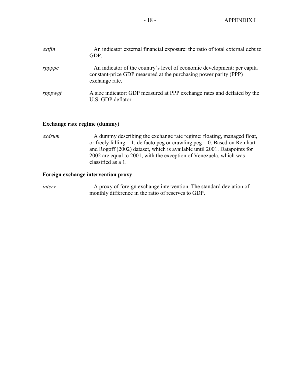| extfin  | An indicator external financial exposure: the ratio of total external debt to<br>GDP.                                                                         |
|---------|---------------------------------------------------------------------------------------------------------------------------------------------------------------|
| rppppc  | An indicator of the country's level of economic development: per capita<br>constant-price GDP measured at the purchasing power parity (PPP)<br>exchange rate. |
| rpppwgt | A size indicator: GDP measured at PPP exchange rates and deflated by the<br>U.S. GDP deflator.                                                                |

#### **Exchange rate regime (dummy)**

*exdrum* A dummy describing the exchange rate regime: floating, managed float, or freely falling = 1; de facto peg or crawling  $peg = 0$ . Based on Reinhart and Rogoff (2002) dataset, which is available until 2001. Datapoints for 2002 are equal to 2001, with the exception of Venezuela, which was classified as a 1.

#### **Foreign exchange intervention proxy**

*interv* **A** proxy of foreign exchange intervention. The standard deviation of monthly difference in the ratio of reserves to GDP.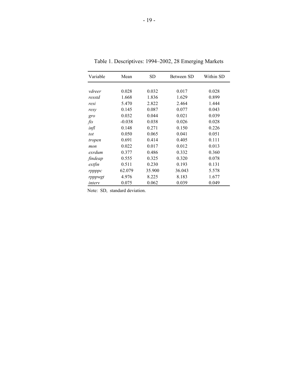| Variable | Mean     | <b>SD</b> | Between SD | Within SD |
|----------|----------|-----------|------------|-----------|
|          |          |           |            |           |
| vdreer   | 0.028    | 0.032     | 0.017      | 0.028     |
| resstd   | 1.668    | 1.836     | 1.629      | 0.899     |
| resi     | 5.470    | 2.822     | 2.464      | 1.444     |
| resy     | 0.145    | 0.087     | 0.077      | 0.043     |
| gro      | 0.032    | 0.044     | 0.021      | 0.039     |
| fis      | $-0.038$ | 0.038     | 0.026      | 0.028     |
| infl     | 0.148    | 0.271     | 0.150      | 0.226     |
| tot      | 0.050    | 0.065     | 0.041      | 0.051     |
| tropen   | 0.691    | 0.414     | 0.405      | 0.111     |
| mon      | 0.022    | 0.017     | 0.012      | 0.013     |
| exrdum   | 0.377    | 0.486     | 0.332      | 0.360     |
| findeap  | 0.555    | 0.325     | 0.320      | 0.078     |
| extfin   | 0.511    | 0.230     | 0.193      | 0.131     |
| rppppc   | 62.079   | 35.900    | 36.043     | 5.578     |
| rpppwgt  | 4.976    | 8.225     | 8.183      | 1.677     |
| interv   | 0.075    | 0.062     | 0.039      | 0.049     |

Table 1. Descriptives: 1994–2002, 28 Emerging Markets

Note: SD, standard deviation.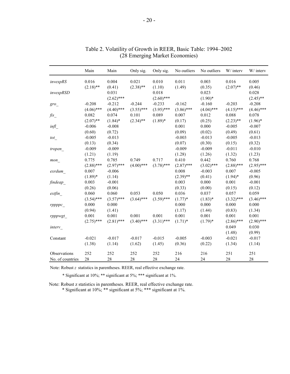|                    | Main         | Main         | Only sig.    | Only sig.    | No outliers  | No outliers  | W/ interv    | W/ interv    |
|--------------------|--------------|--------------|--------------|--------------|--------------|--------------|--------------|--------------|
| invexpRS           | 0.016        | 0.004        | 0.021        | 0.010        | 0.011        | 0.003        | 0.016        | 0.005        |
|                    | $(2.18)$ **  | (0.41)       | $(2.38)$ **  | (1.10)       | (1.49)       | (0.35)       | $(2.07)$ **  | (0.46)       |
| invexpRSD          |              | 0.031        |              | 0.018        |              | 0.023        |              | 0.028        |
|                    |              | $(2.62)$ *** |              | $(2.60)$ *** |              | $(1.90)*$    |              | $(2.45)$ **  |
| $gro_{-}$          | $-0.208$     | $-0.212$     | $-0.244$     | $-0.233$     | $-0.162$     | $-0.160$     | $-0.203$     | $-0.208$     |
|                    | $(4.06)$ *** | $(4.40)$ *** | $(3.55)$ *** | $(3.95)$ *** | $(3.86)$ *** | $(4.04)$ *** | $(4.15)$ *** | $(4.46)$ *** |
| $\mathit{fis}_{-}$ | 0.082        | 0.074        | 0.101        | 0.089        | 0.007        | 0.012        | 0.088        | 0.078        |
|                    | $(2.07)$ **  | $(1.84)$ *   | $(2.34)$ **  | $(1.89)*$    | (0.17)       | (0.25)       | $(2.23)$ **  | $(1.96)$ *   |
| infl               | $-0.006$     | $-0.008$     |              |              | 0.001        | 0.000        | $-0.005$     | $-0.007$     |
|                    | (0.60)       | (0.72)       |              |              | (0.09)       | (0.02)       | (0.49)       | (0.61)       |
| tot                | $-0.005$     | $-0.013$     |              |              | $-0.003$     | $-0.013$     | $-0.005$     | $-0.013$     |
|                    | (0.13)       | (0.34)       |              |              | (0.07)       | (0.30)       | (0.15)       | (0.32)       |
| tropen             | $-0.009$     | $-0.009$     |              |              | $-0.009$     | $-0.009$     | $-0.011$     | $-0.010$     |
|                    | (1.21)       | (1.19)       |              |              | (1.28)       | (1.26)       | (1.32)       | (1.23)       |
| mon                | 0.775        | 0.785        | 0.749        | 0.717        | 0.410        | 0.442        | 0.760        | 0.768        |
|                    | $(2.88)$ *** | $(2.97)$ *** | $(4.00)$ *** | $(3.78)$ *** | $(2.87)$ *** | $(3.02)$ *** | $(2.88)$ *** | $(2.95)$ *** |
| exrdum             | 0.007        | $-0.006$     |              |              | 0.008        | $-0.003$     | 0.007        | $-0.005$     |
|                    | $(1.89)*$    | (1.14)       |              |              | $(2.39)$ **  | (0.41)       | $(1.94)$ *   | (0.96)       |
| findeap            | 0.003        | $-0.001$     |              |              | 0.003        | 0.000        | 0.001        | $-0.001$     |
|                    | (0.26)       | (0.06)       |              |              | (0.33)       | (0.00)       | (0.15)       | (0.12)       |
| extfin             | 0.060        | 0.060        | 0.053        | 0.050        | 0.036        | 0.037        | 0.057        | 0.059        |
|                    | $(3.54)$ *** | $(3.57)$ *** | $(3.64)$ *** | $(3.59)$ *** | $(1.77)*$    | $(1.83)*$    | $(3.32)$ *** | $(3.46)$ *** |
| rppppc             | 0.000        | 0.000        |              |              | 0.000        | 0.000        | 0.000        | 0.000        |
|                    | (0.94)       | (1.41)       |              |              | (1.17)       | (1.44)       | (0.83)       | (1.34)       |
| rpppwgt            | 0.001        | 0.001        | 0.001        | 0.001        | 0.001        | 0.001        | 0.001        | 0.001        |
|                    | $(2.75)$ *** | $(2.81)$ *** | $(3.40)$ *** | $(3.31)$ *** | $(1.71)^*$   | $(1.79)*$    | $(2.86)$ *** | $(2.90)$ *** |
| interv             |              |              |              |              |              |              | 0.049        | 0.030        |
|                    |              |              |              |              |              |              | (1.48)       | (0.99)       |
| Constant           | $-0.021$     | $-0.017$     | $-0.017$     | $-0.015$     | $-0.005$     | $-0.003$     | $-0.021$     | $-0.017$     |
|                    | (1.38)       | (1.14)       | (1.62)       | (1.45)       | (0.36)       | (0.22)       | (1.34)       | (1.14)       |
|                    |              |              |              |              |              |              |              |              |
| Observations       | 252          | 252          | 252          | 252          | 216          | 216          | 251          | 251          |
| No. of countries   | 28           | 28           | 28           | 28           | 24           | 24           | 28           | 28           |

| Table 2. Volatility of Growth in REER, Basic Table: 1994–2002 |
|---------------------------------------------------------------|
| (28 Emerging Market Economies)                                |

\* Significant at 10%; \*\* significant at 5%; \*\*\* significant at 1%.

Note: Robust z statistics in parentheses. REER, real effective exchange rate.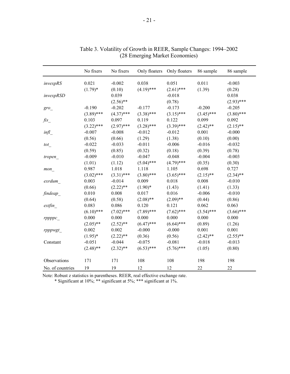|                      | No fixers    | No fixers    | Only floaters | Only floaters | 86 sample    | 86 sample    |
|----------------------|--------------|--------------|---------------|---------------|--------------|--------------|
| invexpRS             | 0.021        | $-0.002$     | 0.038         | 0.051         | 0.011        | $-0.003$     |
|                      | $(1.79)^*$   | (0.10)       | $(4.19)$ ***  | $(2.61)$ ***  | (1.39)       | (0.28)       |
| invexpRSD            |              | 0.039        |               | $-0.018$      |              | 0.038        |
|                      |              | $(2.56)$ **  |               | (0.78)        |              | $(2.93)$ *** |
| $gro$ <sub>-</sub>   | $-0.190$     | $-0.202$     | $-0.177$      | $-0.173$      | $-0.200$     | $-0.205$     |
|                      | $(3.89)$ *** | $(4.37)$ *** | $(3.38)$ ***  | $(3.15)$ ***  | $(3.45)$ *** | $(3.80)$ *** |
| $\operatorname{fis}$ | 0.103        | 0.097        | 0.119         | 0.122         | 0.099        | 0.092        |
|                      | $(3.22)$ *** | $(2.97)$ *** | $(3.28)$ ***  | $(3.39)$ ***  | $(2.42)$ **  | $(2.15)$ **  |
| infl                 | $-0.007$     | $-0.008$     | $-0.012$      | $-0.012$      | 0.001        | $-0.000$     |
|                      | (0.56)       | (0.66)       | (1.29)        | (1.38)        | (0.10)       | (0.00)       |
| tot                  | $-0.022$     | $-0.033$     | $-0.011$      | $-0.006$      | $-0.016$     | $-0.032$     |
|                      | (0.59)       | (0.85)       | (0.32)        | (0.18)        | (0.39)       | (0.78)       |
| tropen               | $-0.009$     | $-0.010$     | $-0.047$      | $-0.048$      | $-0.004$     | $-0.003$     |
|                      | (1.01)       | (1.12)       | $(5.04)$ ***  | $(4.79)$ ***  | (0.35)       | (0.30)       |
| mon                  | 0.987        | 1.018        | 1.118         | 1.105         | 0.698        | 0.727        |
|                      | $(3.02)$ *** | $(3.31)$ *** | $(3.80)$ ***  | $(3.65)$ ***  | $(2.15)$ **  | $(2.34)$ **  |
| exrdum               | 0.003        | $-0.014$     | 0.009         | 0.018         | 0.008        | $-0.010$     |
|                      | (0.66)       | $(2.22)$ **  | $(1.90)*$     | (1.43)        | (1.41)       | (1.33)       |
| findeap              | 0.010        | 0.008        | 0.017         | 0.016         | $-0.006$     | $-0.010$     |
|                      | (0.64)       | (0.58)       | $(2.08)$ **   | $(2.09)$ **   | (0.44)       | (0.86)       |
| extfin               | 0.083        | 0.086        | 0.120         | 0.121         | 0.062        | 0.063        |
|                      | $(6.10)$ *** | $(7.02)$ *** | $(7.89)$ ***  | $(7.62)$ ***  | $(3.54)$ *** | $(3.66)$ *** |
| rppppc               | 0.000        | 0.000        | 0.000         | 0.000         | 0.000        | 0.000        |
|                      | $(2.05)$ **  | $(2.52)$ **  | $(6.47)$ ***  | $(6.64)$ ***  | (0.89)       | (1.26)       |
| rpppwgt_             | 0.002        | 0.002        | $-0.000$      | $-0.000$      | 0.001        | 0.001        |
|                      | $(1.95)*$    | $(2.22)$ **  | (0.36)        | (0.56)        | $(2.42)$ **  | $(2.55)$ **  |
| Constant             | $-0.051$     | $-0.044$     | $-0.075$      | $-0.081$      | $-0.018$     | $-0.013$     |
|                      | $(2.48)$ **  | $(2.32)$ **  | $(6.53)$ ***  | $(5.76)$ ***  | (1.05)       | (0.80)       |
| Observations         | 171          | 171          | 108           | 108           | 198          | 198          |
| No. of countries     | 19           | 19           | 12            | 12            | 22           | 22           |

| Table 3. Volatility of Growth in REER, Sample Changes: 1994–2002 |  |
|------------------------------------------------------------------|--|
| (28 Emerging Market Economies)                                   |  |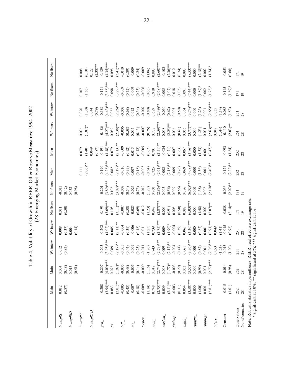| invexpRl                  | Main                 | Main                                                            | W/ interv             | W/interv                    | No fixers             | No fixers             | Main                  | Main                  | W/interv              | $W/$ interv          | No fixers             | No fixers            |
|---------------------------|----------------------|-----------------------------------------------------------------|-----------------------|-----------------------------|-----------------------|-----------------------|-----------------------|-----------------------|-----------------------|----------------------|-----------------------|----------------------|
|                           | (0.87)<br>0.012      |                                                                 | (0.85)<br>0.012       | 0.008                       | (0.50)<br>0.011       | $-0.013$<br>(0.42)    |                       |                       |                       |                      |                       |                      |
| invexpRD                  |                      | $\begin{array}{c} 0.004 \\ 0.18) \\ 0.015 \\ 0.015 \end{array}$ |                       | $(0.37)$<br>0.004<br>(0.14) |                       | (0.98)<br>0.032       |                       |                       |                       |                      |                       |                      |
| i n v exp RY              |                      |                                                                 |                       |                             |                       |                       | 0.111                 | 0.079                 | 0.096                 | 0.070                | $0.107\,$             | 0.008                |
|                           |                      |                                                                 |                       |                             |                       |                       | $(2.06)$ **           | (1.40)                | $(1.87)*$             | (1.30)               | (1.36)                | (0.10)               |
| invexpRYD                 |                      |                                                                 |                       |                             |                       |                       |                       | (0.87)<br>0.049       |                       | (0.79)<br>0.044      |                       | $(2.38)$ **<br>0.122 |
| $\partial \iota \partial$ | $-0.208$             | $-0.207$                                                        | $-0.203$              | $-0.202$                    | $-0.193$              | $-0.201$              | $-0.190$              | $-0.191$              | 0.186                 | $-0.189$             | $-0.171$              | $-0.189$             |
|                           | $(3.94)***$          | $(4.09)$ **                                                     | $(3.95)***$           | $(4.02)$ ***                | $(3.69)$ ***          | $(3.89)***$           | $(4.28)***$           | $(4.48)***$           | $(4.27)$ **           | $(4.43)$ ***         | $(3.88)$ ***          | $(4.35)***$          |
| $\mathit{fis}_-$          | 0.083                |                                                                 | 0.089                 | 0.085                       | 0.105                 | 0.102                 | 0.082                 | 0.079                 | 0.089                 | 0.082                | 0.098                 | 0.098                |
|                           | $(2.01)$ **          | $0.078$<br>(1.92)*                                              | $(2.17)$ **           | $(2.11)$ **                 | $(3.11)^***$          | $(3.02)$ ***          | $(2.19)$ **           | $(2.13)$ **           | $(2.38)$ **<br>-0.006 | $(2.26)$ **          | $(3.29)$ ***          | $(3.41)***$          |
| Mui                       | $-0.005$             | $-0.005$                                                        | $-0.005$              | $-0.004$                    | $-0.007$              | $-0.007$              | $-0.010$              | $-0.009$              |                       | $-0.007$             | $-0.009$<br>$(0.72)$  | $-0.010$             |
|                           | (0.43)               | (0.48)                                                          | (0.44)                | (0.39)                      | (0.58)                | (0.54)                | (0.99)                | (0.92)                | (0.58)                | (0.68)               |                       | (0.89)               |
| $\overline{101}$          | $-0.007$             |                                                                 | $-0.009$              | $-0.006$                    | $-0.025$              | $-0.026$              | 0.007                 | 0.015                 | 0.005                 | 0.012                | $-0.009$              | $-0.009$             |
|                           | (0.18)               | (0.14)                                                          | (0.23)                | (0.18)                      | (0.69)                | (0.73)                | (0.18)                | (0.42)                | (0.13)                | (0.34)               | (0.23)                | (0.24)               |
| tropen_                   | $-0.009$             | $-0.009$                                                        | $-0.011$              | $-0.011$                    | $-0.012$              | $-0.012$              | $-0.005$              |                       | $-0.007$              | $-0.007$             | $-0.006$              | $-0.009$             |
|                           | (1.14)               | $(1.16)$<br>0.748                                               | (1.26)                | (1.25)                      | (1.23)                | (1.27)                | (0.54)                | $(0.67)$              | (0.76)                | (0.80)               | (0.66)                | (1.06)               |
| $mon_{-}$                 | 0.748                |                                                                 | 0.743                 | 0.739                       | 0.947                 | 0.960                 | 0.725                 | 0.701                 | 0.707                 | 0.689                | 0.910                 | 0.893                |
|                           | $(2.75)***$          | $(2.74)$ **<br>0.008                                            | $(2.79)$ **           | $(2.75)***$                 | $(2.87)$ *            | $(2.86)$ **           | $(2.61)***$           | $(2.51)$ **           | $(2.59)***$           | $(2.49)$ **          | $(2.68)***$           | $(2.60)$ ***         |
| exrdum                    | 0.009                |                                                                 | 0.009                 | 0.009                       | 0.004                 | 0.003                 | 0.008                 | $-0.034$              | 0.008                 | $-0.030$             | 0.005                 | $-0.103$             |
|                           | $(2.11)$ **          | $(1.77)$ *                                                      | $(2.17)$ **           | $(1.90)*$                   | (0.91)                | (0.56)                | $(2.18)$ **           | (0.71)                | $(2.25)$ **           | (0.62)               | (1.07)                | $(2.36)$ **          |
| findeap_                  | $-0.003$             | $-0.003$                                                        | $-0.004$              | $-0.004$                    | 0.008                 | 0.009                 | 0.009                 | $0.007$               | 0.006                 | 0.005                | 0.018                 | 0.012                |
|                           | (0.31)               | (0.29)                                                          | (0.41)                | (0.39)                      | (0.50)                | (0.56)                | (0.76)                | $(0.63)$              | (0.61)                | (0.50)               | (1.05)                | (0.74)               |
| exfin                     | $(3.58)***$<br>0.064 | 0.063                                                           | $(3.36)$ ***<br>0.061 | $(3.36)***$<br>0.061        | $(6.03)$ ***<br>0.087 | $(6.02)$ ***<br>0.086 | $(4.08)$ ***<br>0.069 | $(3.96)$ ***<br>0.067 | $(3.77)***$<br>0.066  | $(3.74)***$<br>0.064 | $(7.44)$ ***<br>0.091 | $(8.53)***$<br>0.093 |
| rpppc                     | 0.000                | $(3.57)$ ***                                                    | 0.000                 | 0.000                       | 0.000                 | 0.000                 | 0.000                 | 0.000                 | 0.000                 | 0.000                | 000                   | 0.000                |
|                           | (1.00)               |                                                                 | (0.87)                | $(0.87)$                    | (1.48)                | (1.38)                | (1.36)                | (1.33)                | (1.23)                | (1.23)               | $(1.89)*$             | $(2.18)$ **          |
| <i>i</i> Suddd.           | 0.001                | $(0.99)$<br>0.001                                               | $0.001\,$             | 0.001                       | 0.002                 | 0.002                 | 0.001                 | 0.001                 | 0.001                 | 0.001                | 0.002                 | 0.002                |
|                           | $(2.81)***$          | $(2.77)***$                                                     | $(2.96)$ **           | $(2.91)***$                 | $(2.07)$ **           | $(2.10)$ **           | $(2.40)$ **           | $(2.47)$ **           | $(2.63)***$           | $(2.65)$ **          | $(1.73)*$             | $(1.74)$ *           |
| $\text{interv}$           |                      |                                                                 | 0.053                 | 0.049                       |                       |                       |                       |                       | 0.049                 | 0.035                |                       |                      |
| Constant                  | $-0.015$             | $-0.014$                                                        | $(1.53)$<br>$-0.015$  | $(1.41)$<br>$-0.015$        | $-0.038$              | $-0.036$              | $-0.124$              | $-0.093$              | $(1.44)$<br>$-0.110$  | $(1.14)$<br>$-0.085$ | $-0.145$              | $-0.053$             |
|                           | (1.01)               | (0.98)                                                          | (1.00)                | (0.98)                      | $(2.14)$ **           | $(2.07)$ **           | $(2.22)**$            | (1.64)                | $(2.03)$ **           | (1.53)               | $(1.89)*$             | (0.66)               |
| Observations              | 252                  | 252                                                             | 251                   | 251                         | 171                   | 171                   | 252                   | 252                   | 251                   | 251                  | 171                   | 171                  |
| No. of countries          | 28                   | 28                                                              | 28                    | 28                          | $\overline{19}$       | 19                    | 28                    | 28                    | 28                    | 28                   | $\overline{19}$       | 19                   |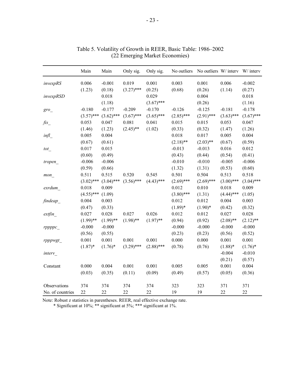|                     | Main         | Main         | Only sig.    | Only sig.    | No outliers  | No outliers W/ interv W/ interv |              |              |
|---------------------|--------------|--------------|--------------|--------------|--------------|---------------------------------|--------------|--------------|
| invexpRS            | 0.006        | $-0.001$     | 0.019        | 0.001        | 0.003        | 0.001                           | 0.006        | $-0.002$     |
|                     | (1.23)       | (0.18)       | $(3.27)$ *** | (0.25)       | (0.68)       | (0.26)                          | (1.14)       | (0.27)       |
| invexpRSD           |              | 0.018        |              | 0.029        |              | 0.004                           |              | 0.018        |
|                     |              | (1.18)       |              | $(3.67)$ *** |              | (0.26)                          |              | (1.16)       |
| gro                 | $-0.180$     | $-0.177$     | $-0.209$     | $-0.170$     | $-0.126$     | $-0.125$                        | $-0.181$     | $-0.178$     |
|                     | $(3.57)$ *** | $(3.62)$ *** | $(3.67)$ *** | $(3.65)$ *** | $(2.85)$ *** | $(2.91)$ ***                    | $(3.63)$ *** | $(3.67)$ *** |
| $\mathit{fis}_{\_}$ | 0.053        | 0.047        | 0.081        | 0.041        | 0.015        | 0.015                           | 0.053        | 0.047        |
|                     | (1.46)       | (1.23)       | $(2.45)$ **  | (1.02)       | (0.33)       | (0.32)                          | (1.47)       | (1.26)       |
| infl                | 0.005        | 0.004        |              |              | 0.018        | 0.017                           | 0.005        | 0.004        |
|                     | (0.67)       | (0.61)       |              |              | $(2.18)$ **  | $(2.03)$ **                     | (0.67)       | (0.59)       |
| tot                 | 0.017        | 0.015        |              |              | $-0.013$     | $-0.013$                        | 0.016        | 0.012        |
|                     | (0.60)       | (0.49)       |              |              | (0.43)       | (0.44)                          | (0.54)       | (0.41)       |
| tropen              | $-0.006$     | $-0.006$     |              |              | $-0.010$     | $-0.010$                        | $-0.005$     | $-0.006$     |
|                     | (0.59)       | (0.66)       |              |              | (1.32)       | (1.31)                          | (0.53)       | (0.60)       |
| mon                 | 0.511        | 0.515        | 0.520        | 0.545        | 0.501        | 0.504                           | 0.513        | 0.518        |
|                     | $(3.02)$ *** | $(3.04)$ *** | $(3.56)$ *** | $(4.43)$ *** | $(2.69)$ *** | $(2.69)$ ***                    | $(3.00)$ *** | $(3.04)$ *** |
| exrdum              | 0.018        | 0.009        |              |              | 0.012        | 0.010                           | 0.018        | 0.009        |
|                     | $(4.55)$ *** | (1.09)       |              |              | $(3.80)$ *** | (1.31)                          | $(4.44)$ *** | (1.05)       |
| findeap             | 0.004        | 0.003        |              |              | 0.012        | 0.012                           | 0.004        | 0.003        |
|                     | (0.47)       | (0.33)       |              |              | $(1.89)*$    | $(1.90)*$                       | (0.42)       | (0.32)       |
| extfin              | 0.027        | 0.028        | 0.027        | 0.026        | 0.012        | 0.012                           | 0.027        | 0.028        |
|                     | $(1.99)$ **  | $(1.99)$ **  | $(1.98)$ **  | $(1.97)$ **  | (0.94)       | (0.92)                          | $(2.08)$ **  | $(2.12)$ **  |
| rppppc              | $-0.000$     | $-0.000$     |              |              | $-0.000$     | $-0.000$                        | $-0.000$     | $-0.000$     |
|                     | (0.56)       | (0.55)       |              |              | (0.23)       | (0.23)                          | (0.56)       | (0.52)       |
| rpppwgt             | 0.001        | 0.001        | 0.001        | 0.001        | $0.000\,$    | 0.000                           | 0.001        | 0.001        |
|                     | $(1.87)^*$   | $(1.76)^*$   | $(3.29)$ *** | $(2.88)$ *** | (0.78)       | (0.76)                          | $(1.88)$ *   | $(1.76)^*$   |
| interv              |              |              |              |              |              |                                 | $-0.004$     | $-0.010$     |
|                     |              |              |              |              |              |                                 | (0.21)       | (0.57)       |
| Constant            | 0.000        | 0.004        | 0.001        | 0.001        | 0.005        | 0.005                           | 0.001        | 0.004        |
|                     | (0.03)       | (0.35)       | (0.11)       | (0.09)       | (0.49)       | (0.57)                          | (0.05)       | (0.36)       |
| Observations        | 374          | 374          | 374          | 374          | 323          | 323                             | 371          | 371          |
| No. of countries    | 22           | 22           | 22           | 22           | 19           | 19                              | 22           | 22           |

Table 5. Volatility of Growth in REER, Basic Table: 1986–2002 (22 Emerging Market Economies)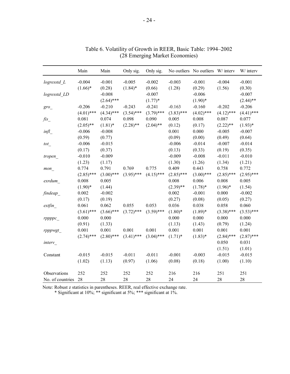| $-0.004$<br>$-0.005$<br>$-0.003$<br>$-0.004$<br>$log$ resstd $L$<br>$-0.001$<br>$-0.002$<br>$-0.001$<br>$(1.66)*$<br>$(1.84)$ *<br>(1.28)<br>(1.56)<br>(0.28)<br>(0.66)<br>(0.29)<br>$-0.008$<br>$-0.007$<br>$-0.006$<br>logresstd LD<br>$(2.64)$ ***<br>$(1.77)*$<br>$(1.90)*$<br>$-0.206$<br>$-0.210$<br>$-0.243$<br>$-0.241$<br>$-0.163$<br>$-0.160$<br>$-0.202$<br>$gro$ <sub>_</sub><br>$(4.34)$ ***<br>$(3.54)$ ***<br>$(3.79)$ ***<br>$(3.83)$ ***<br>$(4.02)$ ***<br>$(4.12)$ *** | $-0.001$<br>(0.30)<br>$-0.007$<br>$(2.44)$ **<br>$-0.206$<br>$(4.41)$ ***<br>0.077<br>$(1.93)*$<br>$-0.007$<br>(0.64) |
|-------------------------------------------------------------------------------------------------------------------------------------------------------------------------------------------------------------------------------------------------------------------------------------------------------------------------------------------------------------------------------------------------------------------------------------------------------------------------------------------|-----------------------------------------------------------------------------------------------------------------------|
|                                                                                                                                                                                                                                                                                                                                                                                                                                                                                           |                                                                                                                       |
|                                                                                                                                                                                                                                                                                                                                                                                                                                                                                           |                                                                                                                       |
|                                                                                                                                                                                                                                                                                                                                                                                                                                                                                           |                                                                                                                       |
|                                                                                                                                                                                                                                                                                                                                                                                                                                                                                           |                                                                                                                       |
|                                                                                                                                                                                                                                                                                                                                                                                                                                                                                           |                                                                                                                       |
| $(4.01)$ ***                                                                                                                                                                                                                                                                                                                                                                                                                                                                              |                                                                                                                       |
| 0.081<br>0.074<br>0.098<br>0.090<br>0.005<br>0.008<br>0.087<br>$\mathit{fis}_{\_}$                                                                                                                                                                                                                                                                                                                                                                                                        |                                                                                                                       |
| $(2.04)$ **<br>$(2.05)$ **<br>$(1.81)$ *<br>$(2.28)$ **<br>$(2.22)$ **<br>(0.12)<br>(0.17)                                                                                                                                                                                                                                                                                                                                                                                                |                                                                                                                       |
| 0.001<br>$-0.005$<br>$-0.006$<br>$-0.008$<br>0.000<br>infl                                                                                                                                                                                                                                                                                                                                                                                                                                |                                                                                                                       |
| (0.59)<br>(0.49)<br>(0.77)<br>(0.09)<br>(0.00)                                                                                                                                                                                                                                                                                                                                                                                                                                            |                                                                                                                       |
| $-0.006$<br>$-0.015$<br>$-0.006$<br>$-0.014$<br>$-0.007$<br>tot                                                                                                                                                                                                                                                                                                                                                                                                                           | $-0.014$                                                                                                              |
| (0.17)<br>(0.37)<br>(0.13)<br>(0.33)<br>(0.19)                                                                                                                                                                                                                                                                                                                                                                                                                                            | (0.35)                                                                                                                |
| $-0.010$<br>$-0.009$<br>$-0.009$<br>$-0.011$<br>$-0.008$<br>tropen_                                                                                                                                                                                                                                                                                                                                                                                                                       | $-0.010$                                                                                                              |
| (1.23)<br>(1.30)<br>(1.26)<br>(1.17)<br>(1.34)                                                                                                                                                                                                                                                                                                                                                                                                                                            | (1.21)                                                                                                                |
| 0.774<br>0.791<br>0.409<br>0.758<br>0.769<br>0.775<br>0.443<br>mon                                                                                                                                                                                                                                                                                                                                                                                                                        | 0.772                                                                                                                 |
| $(3.00)$ ***<br>$(3.95)$ ***<br>$(2.85)$ ***<br>$(4.15)$ ***<br>$(2.85)$ ***<br>$(3.00)$ ***<br>$(2.85)$ ***                                                                                                                                                                                                                                                                                                                                                                              | $(2.95)$ ***                                                                                                          |
| 0.005<br>0.008<br>0.008<br>0.006<br>0.008<br>exrdum                                                                                                                                                                                                                                                                                                                                                                                                                                       | 0.005                                                                                                                 |
| $(1.90)*$<br>$(2.39)$ **<br>$(1.78)$ *<br>$(1.96)$ *<br>(1.44)                                                                                                                                                                                                                                                                                                                                                                                                                            | (1.54)                                                                                                                |
| 0.002<br>$-0.002$<br>0.002<br>$-0.001$<br>0.000<br>findeap                                                                                                                                                                                                                                                                                                                                                                                                                                | $-0.002$                                                                                                              |
| (0.17)<br>(0.27)<br>(0.19)<br>(0.08)<br>(0.05)                                                                                                                                                                                                                                                                                                                                                                                                                                            | (0.27)                                                                                                                |
| 0.061<br>0.062<br>0.055<br>0.053<br>0.036<br>0.038<br>0.058<br>extfin                                                                                                                                                                                                                                                                                                                                                                                                                     | 0.060                                                                                                                 |
| $(3.59)$ ***<br>$(3.61)$ ***<br>$(3.66)$ ***<br>$(3.72)$ ***<br>$(3.38)$ ***<br>$(1.80)$ *<br>$(1.89)*$                                                                                                                                                                                                                                                                                                                                                                                   | $(3.53)$ ***                                                                                                          |
| 0.000<br>0.000<br>0.000<br>0.000<br>0.000<br>rppppc                                                                                                                                                                                                                                                                                                                                                                                                                                       | 0.000                                                                                                                 |
| (0.91)<br>(1.33)<br>(1.13)<br>(1.43)<br>(0.79)                                                                                                                                                                                                                                                                                                                                                                                                                                            | (1.24)                                                                                                                |
| 0.001<br>0.001<br>0.001<br>0.001<br>0.001<br>0.001<br>0.001<br>rpppwgt                                                                                                                                                                                                                                                                                                                                                                                                                    | 0.001                                                                                                                 |
| $(2.74)$ ***<br>$(2.80)$ ***<br>$(3.41)$ ***<br>$(3.04)$ ***<br>$(1.71)^*$<br>$(2.84)$ ***<br>$(1.83)*$                                                                                                                                                                                                                                                                                                                                                                                   | $(2.87)$ ***                                                                                                          |
| 0.050<br>interv                                                                                                                                                                                                                                                                                                                                                                                                                                                                           | 0.031                                                                                                                 |
| (1.51)                                                                                                                                                                                                                                                                                                                                                                                                                                                                                    | (1.01)                                                                                                                |
| $-0.015$<br>$-0.003$<br>$-0.015$<br>$-0.015$<br>$-0.011$<br>$-0.011$<br>$-0.001$<br>Constant                                                                                                                                                                                                                                                                                                                                                                                              | $-0.015$                                                                                                              |
| (1.02)<br>(1.13)<br>(0.97)<br>(1.06)<br>(0.08)<br>(0.18)<br>(1.00)                                                                                                                                                                                                                                                                                                                                                                                                                        | (1.10)                                                                                                                |
| Observations<br>252<br>252<br>252<br>252<br>216<br>216<br>251<br>251                                                                                                                                                                                                                                                                                                                                                                                                                      |                                                                                                                       |
| 28<br>28<br>28<br>28<br>28<br>28<br>24<br>24<br>No. of countries                                                                                                                                                                                                                                                                                                                                                                                                                          |                                                                                                                       |

Table 6. Volatility of Growth in REER, Basic Table: 1994–2002 (28 Emerging Market Economies)

Note: Robust z statistics in parentheses. REER, real effective exchange rate. \* Significant at 10%; \*\* significant at 5%; \*\*\* significant at 1%.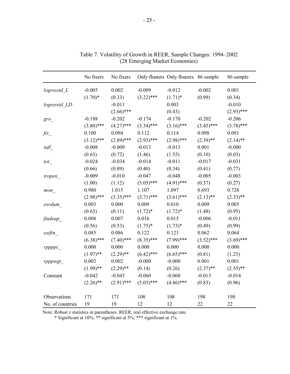|                  | No fixers    | No fixers    |              | Only floaters Only floaters 86 sample |              | 86 sample    |
|------------------|--------------|--------------|--------------|---------------------------------------|--------------|--------------|
| logresstd_L      | $-0.005$     | 0.002        | $-0.009$     | $-0.012$                              | $-0.002$     | 0.001        |
|                  | $(1.70)*$    | (0.33)       | $(3.22)$ *** | $(1.71)^*$                            | (0.99)       | (0.34)       |
| logresstd LD     |              | $-0.011$     |              | 0.003                                 |              | $-0.010$     |
|                  |              | $(2.66)$ *** |              | (0.43)                                |              | $(2.93)$ *** |
| $gro_{-}$        | $-0.188$     | $-0.202$     | $-0.174$     | $-0.170$                              | $-0.202$     | $-0.206$     |
|                  | $(3.80)$ *** | $(4.27)$ *** | $(3.34)$ *** | $(3.16)$ ***                          | $(3.45)$ *** | $(3.78)$ *** |
| fis              | 0.100        | 0.094        | 0.112        | 0.114                                 | 0.098        | 0.091        |
|                  | $(3.12)$ *** | $(2.89)$ *** | $(2.93)$ *** | $(2.98)$ ***                          | $(2.39)$ **  | $(2.14)$ **  |
| $inf_{-}$        | $-0.008$     | $-0.009$     | $-0.013$     | $-0.013$                              | 0.001        | $-0.000$     |
|                  | (0.63)       | (0.72)       | (1.46)       | (1.55)                                | (0.10)       | (0.03)       |
| tot              | $-0.024$     | $-0.034$     | $-0.014$     | $-0.011$                              | $-0.017$     | $-0.031$     |
|                  | (0.66)       | (0.89)       | (0.40)       | (0.34)                                | (0.41)       | (0.77)       |
| tropen_          | $-0.009$     | $-0.010$     | $-0.047$     | $-0.048$                              | $-0.005$     | $-0.003$     |
|                  | (1.00)       | (1.12)       | $(5.05)$ *** | $(4.91)$ ***                          | (0.37)       | (0.27)       |
| mon              | 0.980        | 1.015        | 1.107        | 1.097                                 | 0.693        | 0.728        |
|                  | $(2.98)$ *** | $(3.35)$ *** | $(3.71)$ *** | $(3.61)$ ***                          | $(2.13)$ **  | $(2.33)$ **  |
| exrdum           | 0.003        | 0.000        | 0.009        | 0.010                                 | 0.009        | 0.005        |
|                  | (0.63)       | (0.11)       | $(1.72)^*$   | $(1.72)^*$                            | (1.48)       | (0.95)       |
| findeap          | 0.008        | 0.007        | 0.016        | 0.015                                 | $-0.006$     | $-0.011$     |
|                  | (0.56)       | (0.53)       | $(1.75)^*$   | $(1.73)*$                             | (0.49)       | (0.99)       |
| extfin           | 0.085        | 0.086        | 0.122        | 0.123                                 | 0.062        | 0.064        |
|                  | $(6.38)$ *** | $(7.40)$ *** | $(8.35)$ *** | $(7.99)$ ***                          | $(3.52)$ *** | $(3.69)$ *** |
| rppppc           | 0.000        | 0.000        | 0.000        | 0.000                                 | 0.000        | 0.000        |
|                  | $(1.97)$ **  | $(2.29)$ **  | $(6.42)$ *** | $(6.65)$ ***                          | (0.81)       | (1.23)       |
| rpppwgt          | 0.002        | 0.002        | $-0.000$     | $-0.000$                              | 0.001        | 0.001        |
|                  | $(1.99)$ **  | $(2.29)$ **  | (0.14)       | (0.26)                                | $(2.37)$ **  | $(2.55)$ **  |
| Constant         | $-0.042$     | $-0.043$     | $-0.060$     | $-0.060$                              | $-0.013$     | $-0.014$     |
|                  | $(2.26)$ **  | $(2.91)$ *** | $(5.03)$ *** | $(4.86)$ ***                          | (0.83)       | (0.96)       |
| Observations     | 171          | 171          | 108          | 108                                   | 198          | 198          |
| No. of countries | 19           | 19           | 12           | 12                                    | 22           | 22           |

Table 7. Volatility of Growth in REER, Sample Changes: 1994–2002 (28 Emerging Market Economies)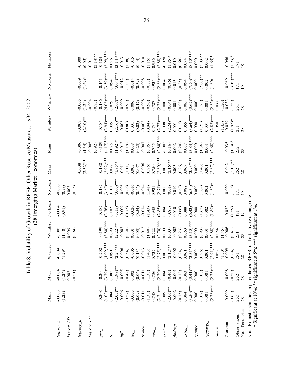| ble 8. Volatility of Growth in REER, Other Reserve Measures: 1994–20 |                                  |
|----------------------------------------------------------------------|----------------------------------|
|                                                                      | $(28)$ Emerging Market Economies |
|                                                                      |                                  |
|                                                                      |                                  |
|                                                                      |                                  |
|                                                                      |                                  |
|                                                                      |                                  |
|                                                                      |                                  |
|                                                                      |                                  |

|                             | Main         | Main            | W/interv     | W/ interv            | No fixers        | No fixers              | Main         | Main               | W/ interv          | W/ interv          | No fixers      | No fixers          |
|-----------------------------|--------------|-----------------|--------------|----------------------|------------------|------------------------|--------------|--------------------|--------------------|--------------------|----------------|--------------------|
| $logresi$ <sub>_</sub> $L$  | $-0.003$     | $-0.004$        | $-0.004$     | $-0.005$             | $-0.004$         | $-0.006$               |              |                    |                    |                    |                |                    |
| logresi_LD                  | (1.23)       | (1.24)<br>0.003 | (1.29)       | (1.40)<br>0.006      | (0.91)           | (0.98)<br>0.003        |              |                    |                    |                    |                |                    |
|                             |              | (0.51)          |              | (0.94)               |                  | (0.35)                 |              |                    |                    |                    |                |                    |
| $log$ resy $\underline{I}$  |              |                 |              |                      |                  |                        | $-0.008$     | $-0.006$           | $-0.007$           | $-0.005$           | $-0.009$       | $-0.000$           |
|                             |              |                 |              |                      |                  |                        | $(2.32)$ **  | $-0.005$<br>(1.34) | $(2.10)$ **        | $-0.004$<br>(1.24) | $(1.69)*$      | $-0.011$<br>(0.05) |
| $logresy$ <sub>_</sub> $LD$ |              |                 |              |                      |                  |                        |              | (0.92)             |                    | (0.73)             |                | $(2.14)$ **        |
| $\partial \mathcal{S}$      | $-0.208$     | $-0.204$        | $-0.202$     | $-0.199$             | $-0.187$         | $-0.187$               | $-0.188$     | $-0.189$           | $-0.184$           | $-0.186$           | $-0.161$       | $-0.184$           |
|                             | $(4.02)$ *** | $(3.79)$ ***    | $(4.09)$ **  | $(3.80)$ ***         | $(3.76)***$      | $(3.69)***$            | $(3.92)$ **  | $(4.17)$ *         | $(3.94)***$        | $(4.08)$ **        | $(3.59)***$    | $(3.99)***$        |
| fis                         | 0.084        | 0.082           | 0.091        | 0.090                | 0.102            | 0.101                  | 0.077        | 0.075              | 0.085              | 0.079              | 0.094          | 0.096              |
|                             | $(2.05)$ **  | $(1.98)$ **     | $(2.24)$ **  | $(2.22)$ **          | $(3.13)***$      | $(3.00)*$              | $(1.95)*$    | $(1.92)*$          | $(2.16)$ **        | $(2.07)$ **        | $(3.04)$ ***   | $(3.14)***$        |
| Imi                         | $-0.006$     | $-0.005$        | $-0.006$     | $-0.003$             | $-0.009$         | $-0.008$               | $-0.011$     | $-0.012$           | $-0.008$           | $-0.009$           | $-0.012$       | $-0.013$           |
|                             | (0.57)       | (0.42)          | (0.54)       | (0.30)               | (0.73)           | (0.66)                 | (1.11)       | (1.19)             | (0.80)             | (0.93)             | (1.03)         | (1.08)             |
| $\overline{\nu}$            | $-0.003$     | 0.002           | $-0.005$     | 0.001                | $-0.020$         | $-0.016$               | 0.003        | 0.008              | 0.001              | 0.006              | $-0.014$       | $-0.015$           |
|                             | (0.09)       | (0.06)          | (0.13)       | (0.03)               | (0.54)           | (0.45)                 | (0.07)       | (0.23)             | (0.02)             | (0.17)             | (0.39)         | (0.44)             |
| tropen                      | $-0.011$     | $-0.011$        | $-0.013$     | $-0.013$             | $-0.014$         | $-0.014$               | $-0.006$     | $-0.007$           | $-0.008$           | $-0.008$           | $-0.008$       | $-0.010$           |
|                             | (1.33)       | (1.33)          | (1.43)       | (1.40)               | (1.43)           | (1.41)                 | (0.76)       | (0.85)             | (0.94)             | (0.96)             | (0.88)         | (1.15)             |
| $m \circ n$                 | 0.748        | 0.736           | 0.737        | 0.722                | 0.943            | 0.921                  | 0.750        | 0.745              | 0.731              | 0.727              | 0.934          | 0.936              |
|                             | $(2.74)***$  | $(2.70)$ ***    | $(2.75)***$  | $(2.70)$ ***         | $(2.85)$ *       | $(2.71)$ <sup>**</sup> | $(2.80)$ **  | $(2.80)$ **        | $(2.77)***$        | $(2.78)$ **        | $(2.86)$ **    | $(2.88)*$          |
| exrdum                      | 0.009        | 0.004           | 0.008        | 0.000                | 0.004            | 0.000                  | 0.008        | $-0.002$           | 0.008              | 0.000              | 0.004          | $-0.020$           |
|                             | $(2.06)$ **  | (0.46)          | $(2.12)$ **  | (0.03)               | (0.85)           | (0.01)                 | $(2.16)$ **  | (0.16)             | $(2.24)$ **        | (0.04)             | (0.96)         | $(1.85)*$          |
| $\emph{findexp}_{-}$        | $-0.002$     | $-0.001$        | $-0.002$     | $-0.002$             | 0.010            | 0.010                  | 0.003        | 0.002              | 0.001              | $0.001$            | 0.013          | 0.010              |
|                             | (0.15)       | (0.13)          | (0.24)       | (0.23)               | (0.66)           | (0.63)                 | (0.26)       | (0.20)             | (0.12)             | (0.08)             | (0.85)         | (0.68)             |
| extfin                      | 0.064        | 0.063           | 0.061        | 0.060                | 0.088            | 0.088                  | 0.069        | 0.067              | 0.065              | 0.065              | 0.094          | 0.094              |
|                             | $(3.50)$ *** | $(3.41)***$     | $(3.31)$ *** | $(3.15)$ **          | $(6.43)^*$       | $(6.34)$ *             | $(3.93)$ **  | $(3.84)$ **        | $(3.64)$ **        | $(3.62)^{4}$       | $(7.70)*$      | $(8.15)***$        |
| rpppc                       | 0.000        | 0.000           | 0.000        | 0.000                | 0.000            | 0.000                  | 0.000        | 0.000              | 0.000              | 0.000              | 0.000          | 0.000              |
|                             | (1.07)       | (1.08)          | (0.96)       | (0.93)               | (1.62)           | (1.62)                 | (1.43)       | (1.36)             | (1.25)             | (1.23)             | $(2.00)$ **    | $(2.03)$ **        |
| <i>rppwgt</i>               | 0.001        | 0.001           | 0.001        | 0.001                | 0.002            | 0.002                  | 0.001        | 0.001              | 0.001              | 0.001              | 0.002          | 0.002              |
|                             | $(2.78)***$  | $(2.75)***$     | $(2.91)$ *** | $(2.88)$ **          | $(1.89)*$        | $(1.87)$ *             | $(2.67)$ *** | $(2.68)***$        | $(2.83)***$        | $(2.83)*$          | (1.60)         | $(1.65)*$          |
| $\overline{interv}$         |              |                 | 0.052        | 0.054                |                  |                        |              |                    | 0.050              | 0.037              |                |                    |
| Constant                    | $-0.009$     | $-0.008$        | (1.50)       | $(1.45)$<br>$-0.006$ | $-0.032$         | $-0.030$               | $-0.042$     | $-0.035$           | $-0.039$<br>(1.45) | $-0.033$<br>(1.20) | $-0.069$       | $-0.046$           |
|                             | (0.63)       | (0.50)          | (0.64)       | (0.41)               | (1.59)           | (1.36)                 | $(2.17)$ **  | $(1.74)$ *         | $(1.93)*$          | (1.59)             | $(3.19)$ ***   | $(1.93)*$          |
| Observations                | 252          | 252             | 251          | 251                  |                  |                        | 252          | 252                | 251                | 251                | 171            |                    |
| No. of countries            | 28           | 28              | 28           | 28                   | $\frac{171}{19}$ | I71<br>19              | 28           | 28                 | 28                 | 28                 | $\overline{9}$ | $\frac{171}{19}$   |

- 26 -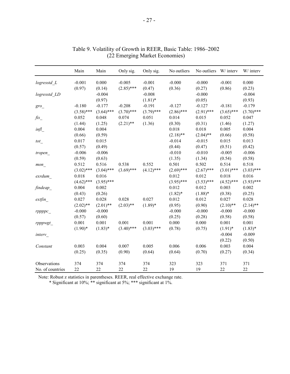|                    | Main         | Main         | Only sig.    | Only sig.    | No outliers  | No outliers W/ interv |              | W/ interv    |
|--------------------|--------------|--------------|--------------|--------------|--------------|-----------------------|--------------|--------------|
| logresstd L        | $-0.001$     | 0.000        | $-0.005$     | $-0.001$     | $-0.000$     | $-0.000$              | $-0.001$     | 0.000        |
|                    | (0.97)       | (0.14)       | $(2.85)$ *** | (0.47)       | (0.36)       | (0.27)                | (0.86)       | (0.23)       |
| logresstd LD       |              | $-0.004$     |              | $-0.008$     |              | $-0.000$              |              | $-0.004$     |
|                    |              | (0.97)       |              | $(1.81)$ *   |              | (0.05)                |              | (0.93)       |
| $gro$ <sub>-</sub> | $-0.180$     | $-0.177$     | $-0.208$     | $-0.191$     | $-0.127$     | $-0.127$              | $-0.181$     | $-0.179$     |
|                    | $(3.58)$ *** | $(3.64)$ *** | $(3.70)$ *** | $(3.79)$ *** | $(2.86)$ *** | $(2.91)$ ***          | $(3.65)$ *** | $(3.70)$ *** |
| $f$ is             | 0.052        | 0.048        | 0.074        | 0.051        | 0.014        | 0.015                 | 0.052        | 0.047        |
|                    | (1.44)       | (1.25)       | $(2.21)$ **  | (1.36)       | (0.30)       | (0.31)                | (1.46)       | (1.27)       |
| inf1               | 0.004        | 0.004        |              |              | 0.018        | 0.018                 | 0.005        | 0.004        |
|                    | (0.66)       | (0.59)       |              |              | $(2.18)$ **  | $(2.04)$ **           | (0.66)       | (0.58)       |
| tot                | 0.017        | 0.015        |              |              | $-0.014$     | $-0.015$              | 0.015        | 0.013        |
|                    | (0.57)       | (0.49)       |              |              | (0.44)       | (0.47)                | (0.51)       | (0.42)       |
| tropen_            | $-0.006$     | $-0.006$     |              |              | $-0.010$     | $-0.010$              | $-0.005$     | $-0.006$     |
|                    | (0.59)       | (0.63)       |              |              | (1.35)       | (1.34)                | (0.54)       | (0.58)       |
| mon                | 0.512        | 0.516        | 0.538        | 0.552        | 0.501        | 0.502                 | 0.514        | 0.518        |
|                    | $(3.02)$ *** | $(3.04)$ *** | $(3.69)$ *** | $(4.12)$ *** | $(2.69)$ *** | $(2.67)$ ***          | $(3.01)$ *** | $(3.03)$ *** |
| exrdum             | 0.018        | 0.016        |              |              | 0.012        | 0.012                 | 0.018        | 0.016        |
|                    | $(4.62)$ *** | $(3.95)$ *** |              |              | $(3.95)$ *** | $(3.53)$ ***          | $(4.52)$ *** | $(3.93)$ *** |
| findeap            | 0.004        | 0.002        |              |              | 0.012        | 0.012                 | 0.003        | 0.002        |
|                    | (0.43)       | (0.26)       |              |              | $(1.82)$ *   | $(1.88)$ *            | (0.38)       | (0.25)       |
| extfin             | 0.027        | 0.028        | 0.028        | 0.027        | 0.012        | 0.012                 | 0.027        | 0.028        |
|                    | $(2.02)$ **  | $(2.01)$ **  | $(2.03)$ **  | $(1.89)$ *   | (0.95)       | (0.90)                | $(2.10)$ **  | $(2.14)$ **  |
| rppppc             | $-0.000$     | $-0.000$     |              |              | $-0.000$     | $-0.000$              | $-0.000$     | $-0.000$     |
|                    | (0.57)       | (0.60)       |              |              | (0.25)       | (0.28)                | (0.58)       | (0.58)       |
| rpppwgt_           | 0.001        | 0.001        | 0.001        | 0.001        | 0.000        | 0.000                 | 0.001        | 0.001        |
|                    | $(1.90)*$    | $(1.83)*$    | $(3.40)$ *** | $(3.03)$ *** | (0.78)       | (0.75)                | $(1.91)^*$   | $(1.83)*$    |
| interv_            |              |              |              |              |              |                       | $-0.004$     | $-0.009$     |
|                    |              |              |              |              |              |                       | (0.22)       | (0.50)       |
| Constant           | 0.003        | 0.004        | 0.007        | 0.005        | 0.006        | 0.006                 | 0.003        | 0.004        |
|                    | (0.25)       | (0.35)       | (0.90)       | (0.64)       | (0.64)       | (0.70)                | (0.27)       | (0.34)       |
| Observations       | 374          | 374          | 374          | 374          | 323          | 323                   | 371          | 371          |
| No. of countries   | 22           | 22           | 22           | 22           | 19           | 19                    | 22           | 22           |

| Table 9. Volatility of Growth in REER, Basic Table: 1986–2002 |
|---------------------------------------------------------------|
| (22 Emerging Market Economies)                                |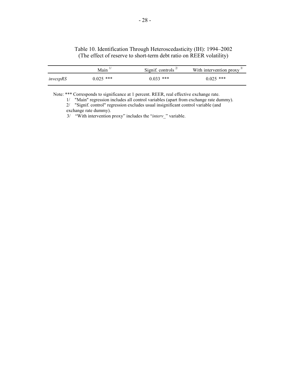#### Table 10. Identification Through Heteroscedasticity (IH): 1994–2002 (The effect of reserve to short-term debt ratio on REER volatility)

|          | $Main$ <sup>1.</sup> | Signif. controls $^{2/}$ | With intervention proxy $3$ |
|----------|----------------------|--------------------------|-----------------------------|
| invexpRS | $0.025$ ***          | $0.033$ ***              | $0.025$ ***                 |

Note: \*\*\* Corresponds to significance at 1 percent. REER, real effective exchange rate.

1/ "Main" regression includes all control variables (apart from exchange rate dummy).

2/ "Signif. control" regression excludes usual insignificant control variable (and

exchange rate dummy).

3/ "With intervention proxy" includes the "*interv\_*" variable.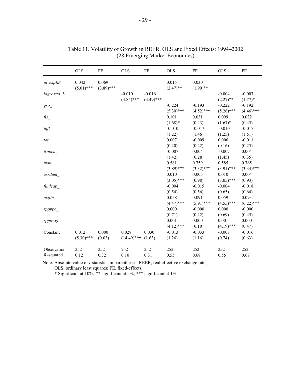|                              | <b>OLS</b>            | FE                    | <b>OLS</b>             | FE              | <b>OLS</b>               | FE                    | <b>OLS</b>               | $\rm FE$              |
|------------------------------|-----------------------|-----------------------|------------------------|-----------------|--------------------------|-----------------------|--------------------------|-----------------------|
| invexpRS                     | 0.042<br>$(5.01)$ *** | 0.069<br>$(3.89)$ *** |                        |                 | 0.015<br>$(2.47)$ **     | 0.030<br>$(1.99)$ **  |                          |                       |
| logresstd L                  |                       |                       | $-0.010$               | $-0.016$        |                          |                       | $-0.004$                 | $-0.007$              |
| gro                          |                       |                       | $(4.84)$ ***           | $(3.49)$ ***    | $-0.224$                 | $-0.193$              | $(2.27)$ **<br>$-0.222$  | $(1.77)*$<br>$-0.192$ |
|                              |                       |                       |                        |                 | $(5.30)$ ***             | $(4.52)$ ***          | $(5.26)$ ***             | $(4.46)$ ***          |
| $\operatorname{fix}_{\_}$    |                       |                       |                        |                 | 0.101<br>$(1.68)$ *      | 0.031<br>(0.43)       | 0.099<br>$(1.67)^*$      | 0.032<br>(0.45)       |
| inf1                         |                       |                       |                        |                 | $-0.010$                 | $-0.017$              | $-0.010$                 | $-0.017$              |
| tot                          |                       |                       |                        |                 | (1.22)<br>0.007          | (1.46)<br>$-0.009$    | (1.25)<br>0.006          | (1.51)<br>$-0.011$    |
|                              |                       |                       |                        |                 | (0.20)<br>$-0.007$       | (0.22)<br>0.004       | (0.16)<br>$-0.007$       | (0.25)<br>0.004       |
| tropen_                      |                       |                       |                        |                 | (1.42)                   | (0.28)                | (1.45)                   | (0.35)                |
| mon                          |                       |                       |                        |                 | 0.581<br>$(3.89)$ ***    | 0.759<br>$(3.32)$ *** | 0.585<br>$(3.91)$ ***    | 0.765<br>$(3.34)$ *** |
| exrdum                       |                       |                       |                        |                 | 0.010                    | 0.005                 | 0.010                    | 0.004                 |
| findeap_                     |                       |                       |                        |                 | $(3.05)$ ***<br>$-0.004$ | (0.98)<br>$-0.015$    | $(3.05)$ ***<br>$-0.004$ | (0.93)<br>$-0.018$    |
|                              |                       |                       |                        |                 | (0.54)                   | (0.56)                | (0.65)                   | (0.64)                |
| extfin                       |                       |                       |                        |                 | 0.058<br>$(4.47)$ ***    | 0.091<br>$(5.91)$ *** | 0.059<br>$(4.55)$ ***    | 0.093<br>$(6.22)$ *** |
| rppppc                       |                       |                       |                        |                 | 0.000                    | $-0.000$              | 0.000                    | $-0.000$              |
| rpppwgt                      |                       |                       |                        |                 | (0.71)<br>0.001          | (0.22)<br>0.000       | (0.69)<br>0.001          | (0.45)<br>0.000       |
|                              |                       |                       |                        |                 | $(4.12)$ ***             | (0.10)                | $(4.19)$ ***             | (0.47)                |
| Constant                     | 0.012<br>$(5.30)$ *** | 0.000<br>(0.03)       | 0.028<br>$(14.49)$ *** | 0.030<br>(1.63) | $-0.013$<br>(1.26)       | $-0.033$<br>(1.16)    | $-0.007$<br>(0.74)       | $-0.016$<br>(0.63)    |
|                              |                       |                       |                        |                 |                          |                       |                          |                       |
| Observations<br>$R$ -squared | 252<br>0.12           | 252<br>0.32           | 252<br>$0.10\,$        | 252<br>0.31     | 252<br>0.55              | 252<br>0.68           | 252<br>0.55              | 252<br>0.67           |

| Table 11. Volatility of Growth in REER, OLS and Fixed Effects: 1994–2002 |
|--------------------------------------------------------------------------|
| (28 Emerging Market Economies)                                           |

Note: Absolute value of *t-*statistics in parentheses. REER, real effective exchange rate;

OLS, ordinary least squares; FE, fixed-effects.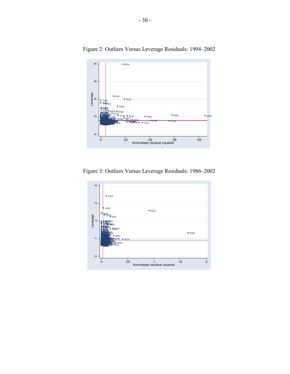

Figure 2: Outliers Versus Leverage Residuals: 1994–2002

Figure 3: Outliers Versus Leverage Residuals: 1986–2002

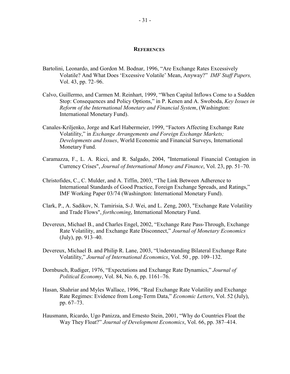#### **REFERENCES**

- Bartolini, Leonardo, and Gordon M. Bodnar, 1996, "Are Exchange Rates Excessively Volatile? And What Does 'Excessive Volatile' Mean, Anyway?" *IMF Staff Papers,* Vol. 43, pp. 72–96.
- Calvo, Guillermo, and Carmen M. Reinhart, 1999, "When Capital Inflows Come to a Sudden Stop: Consequences and Policy Options," in P. Kenen and A. Swoboda, *Key Issues in Reform of the International Monetary and Financial System*, (Washington: International Monetary Fund).
- Canales-Kriljenko, Jorge and Karl Habermeier, 1999, "Factors Affecting Exchange Rate Volatility," in *Exchange Arrangements and Foreign Exchange Markets; Developments and Issues*, World Economic and Financial Surveys, International Monetary Fund.
- Caramazza, F., L. A. Ricci, and R. Salgado, 2004, "International Financial Contagion in Currency Crises", *Journal of International Money and Finance*, Vol. 23, pp. 51–70.
- Christofides, C., C. Mulder, and A. Tiffin, 2003, "The Link Between Adherence to International Standards of Good Practice, Foreign Exchange Spreads, and Ratings," IMF Working Paper 03/74 (Washington: International Monetary Fund).
- Clark, P., A. Sadikov, N. Tamirisia, S-J. Wei, and L. Zeng, 2003, "Exchange Rate Volatility and Trade Flows", *forthcoming*, International Monetary Fund.
- Devereux, Michael B., and Charles Engel, 2002, "Exchange Rate Pass-Through, Exchange Rate Volatility, and Exchange Rate Disconnect," *Journal of Monetary Economics* (July), pp. 913–40.
- Devereux, Michael B. and Philip R. Lane, 2003, "Understanding Bilateral Exchange Rate Volatility," *Journal of International Economics*, Vol. 50 , pp. 109–132.
- Dornbusch, Rudiger, 1976, "Expectations and Exchange Rate Dynamics," *Journal of Political Economy*, Vol. 84, No. 6, pp. 1161–76.
- Hasan, Shahriar and Myles Wallace, 1996, "Real Exchange Rate Volatility and Exchange Rate Regimes: Evidence from Long-Term Data," *Economic Letters*, Vol. 52 (July), pp. 67–73.
- Hausmann, Ricardo, Ugo Panizza, and Ernesto Stein, 2001, "Why do Countries Float the Way They Float?" *Journal of Development Economics*, Vol. 66, pp. 387–414.